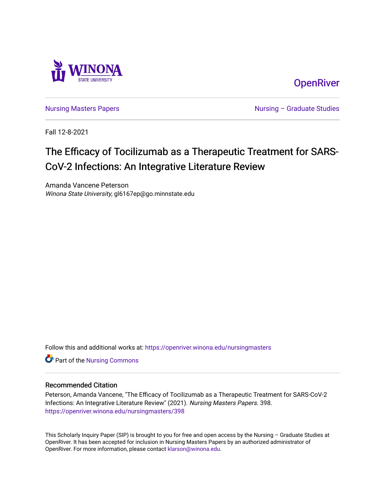

**OpenRiver** 

[Nursing Masters Papers](https://openriver.winona.edu/nursingmasters) **Nursing – Graduate Studies** 

Fall 12-8-2021

# The Efficacy of Tocilizumab as a Therapeutic Treatment for SARS-CoV-2 Infections: An Integrative Literature Review

Amanda Vancene Peterson Winona State University, gl6167ep@go.minnstate.edu

Follow this and additional works at: [https://openriver.winona.edu/nursingmasters](https://openriver.winona.edu/nursingmasters?utm_source=openriver.winona.edu%2Fnursingmasters%2F398&utm_medium=PDF&utm_campaign=PDFCoverPages) 

Part of the [Nursing Commons](http://network.bepress.com/hgg/discipline/718?utm_source=openriver.winona.edu%2Fnursingmasters%2F398&utm_medium=PDF&utm_campaign=PDFCoverPages) 

### Recommended Citation

Peterson, Amanda Vancene, "The Efficacy of Tocilizumab as a Therapeutic Treatment for SARS-CoV-2 Infections: An Integrative Literature Review" (2021). Nursing Masters Papers. 398. [https://openriver.winona.edu/nursingmasters/398](https://openriver.winona.edu/nursingmasters/398?utm_source=openriver.winona.edu%2Fnursingmasters%2F398&utm_medium=PDF&utm_campaign=PDFCoverPages) 

This Scholarly Inquiry Paper (SIP) is brought to you for free and open access by the Nursing – Graduate Studies at OpenRiver. It has been accepted for inclusion in Nursing Masters Papers by an authorized administrator of OpenRiver. For more information, please contact [klarson@winona.edu](mailto:klarson@winona.edu).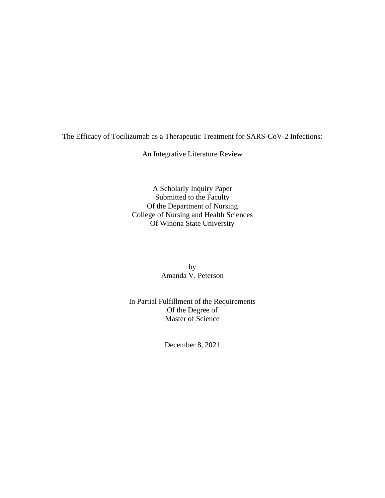The Efficacy of Tocilizumab as a Therapeutic Treatment for SARS-CoV-2 Infections:

An Integrative Literature Review

A Scholarly Inquiry Paper Submitted to the Faculty Of the Department of Nursing College of Nursing and Health Sciences Of Winona State University

> by Amanda V. Peterson

In Partial Fulfillment of the Requirements Of the Degree of Master of Science

December 8, 2021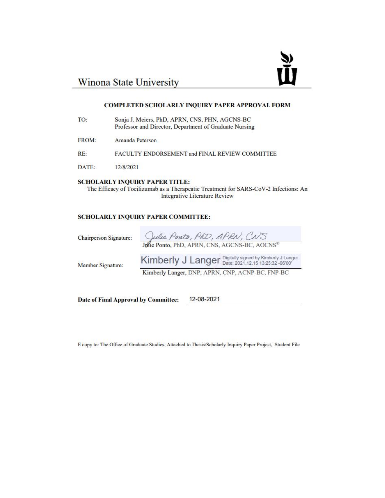# ¥

# Winona State University

### COMPLETED SCHOLARLY INQUIRY PAPER APPROVAL FORM

| TO:          | Sonja J. Meiers, PhD, APRN, CNS, PHN, AGCNS-BC<br>Professor and Director, Department of Graduate Nursing |
|--------------|----------------------------------------------------------------------------------------------------------|
| <b>FROM:</b> | Amanda Peterson                                                                                          |
| RE:          | FACULTY ENDORSEMENT and FINAL REVIEW COMMITTEE                                                           |
| DATE:        | 12/8/2021                                                                                                |
|              |                                                                                                          |

### **SCHOLARLY INQUIRY PAPER TITLE:**

The Efficacy of Tocilizumab as a Therapeutic Treatment for SARS-CoV-2 Infections: An **Integrative Literature Review** 

### **SCHOLARLY INQUIRY PAPER COMMITTEE:**

Chairperson Signature:

| Julie Ponto, PhD, APRN, CNS                   |  |
|-----------------------------------------------|--|
| Jolie Ponto, PhD, APRN, CNS, AGCNS-BC, AOCNS® |  |

Member Signature:

Kimberly J Langer Digitally signed by Kimberly J Langer Kimberly Langer, DNP, APRN, CNP, ACNP-BC, FNP-BC

Date of Final Approval by Committee:

12-08-2021

E copy to: The Office of Graduate Studies, Attached to Thesis/Scholarly Inquiry Paper Project, Student File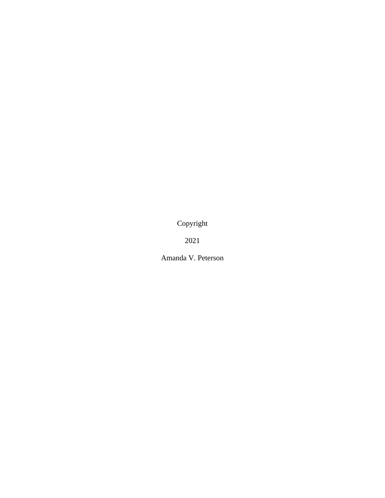Copyright

2021

Amanda V. Peterson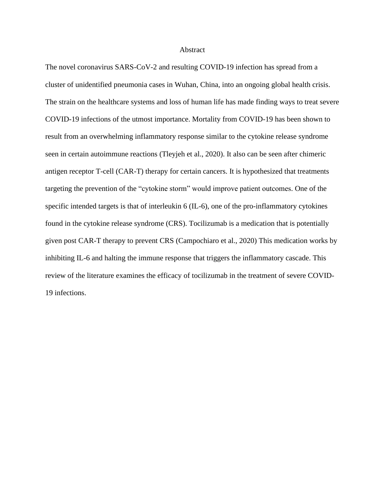### **Abstract**

The novel coronavirus SARS-CoV-2 and resulting COVID-19 infection has spread from a cluster of unidentified pneumonia cases in Wuhan, China, into an ongoing global health crisis. The strain on the healthcare systems and loss of human life has made finding ways to treat severe COVID-19 infections of the utmost importance. Mortality from COVID-19 has been shown to result from an overwhelming inflammatory response similar to the cytokine release syndrome seen in certain autoimmune reactions (Tleyjeh et al., 2020). It also can be seen after chimeric antigen receptor T-cell (CAR-T) therapy for certain cancers. It is hypothesized that treatments targeting the prevention of the "cytokine storm" would improve patient outcomes. One of the specific intended targets is that of interleukin 6 (IL-6), one of the pro-inflammatory cytokines found in the cytokine release syndrome (CRS). Tocilizumab is a medication that is potentially given post CAR-T therapy to prevent CRS (Campochiaro et al., 2020) This medication works by inhibiting IL-6 and halting the immune response that triggers the inflammatory cascade. This review of the literature examines the efficacy of tocilizumab in the treatment of severe COVID-19 infections.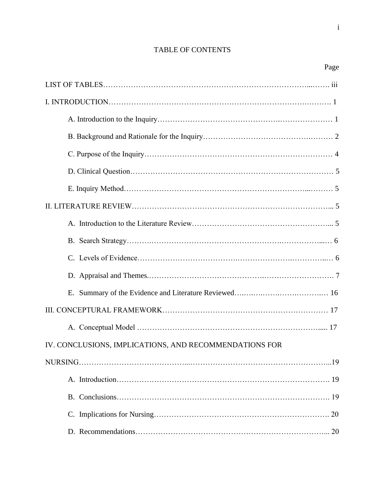# TABLE OF CONTENTS

Page

| IV. CONCLUSIONS, IMPLICATIONS, AND RECOMMENDATIONS FOR |
|--------------------------------------------------------|
|                                                        |
|                                                        |
|                                                        |
|                                                        |
|                                                        |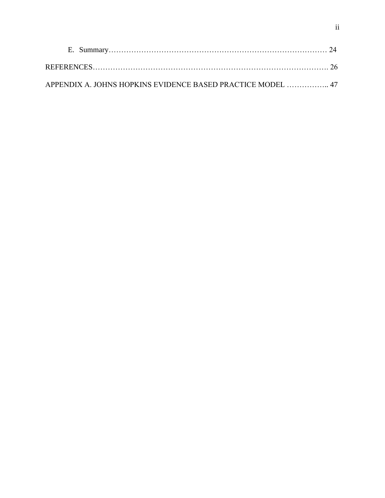| APPENDIX A. JOHNS HOPKINS EVIDENCE BASED PRACTICE MODEL  47 |  |
|-------------------------------------------------------------|--|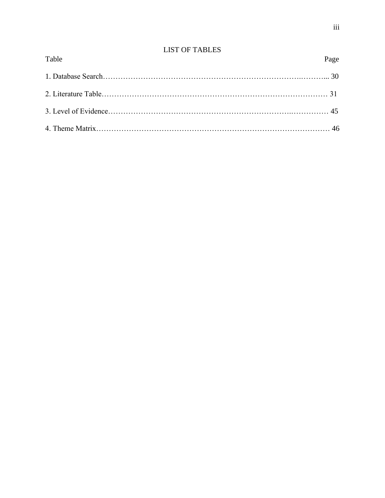# LIST OF TABLES

| Table | Page |
|-------|------|
|       |      |
|       |      |
|       |      |
|       |      |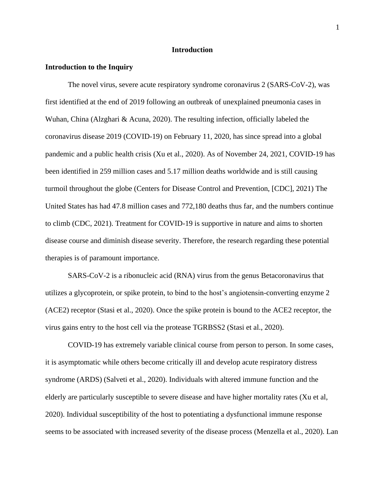### **Introduction**

### **Introduction to the Inquiry**

The novel virus, severe acute respiratory syndrome coronavirus 2 (SARS-CoV-2), was first identified at the end of 2019 following an outbreak of unexplained pneumonia cases in Wuhan, China (Alzghari & Acuna, 2020). The resulting infection, officially labeled the coronavirus disease 2019 (COVID-19) on February 11, 2020, has since spread into a global pandemic and a public health crisis (Xu et al., 2020). As of November 24, 2021, COVID-19 has been identified in 259 million cases and 5.17 million deaths worldwide and is still causing turmoil throughout the globe (Centers for Disease Control and Prevention, [CDC], 2021) The United States has had 47.8 million cases and 772,180 deaths thus far, and the numbers continue to climb (CDC, 2021). Treatment for COVID-19 is supportive in nature and aims to shorten disease course and diminish disease severity. Therefore, the research regarding these potential therapies is of paramount importance.

SARS-CoV-2 is a ribonucleic acid (RNA) virus from the genus Betacoronavirus that utilizes a glycoprotein, or spike protein, to bind to the host's angiotensin-converting enzyme 2 (ACE2) receptor (Stasi et al., 2020). Once the spike protein is bound to the ACE2 receptor, the virus gains entry to the host cell via the protease TGRBSS2 (Stasi et al., 2020).

COVID-19 has extremely variable clinical course from person to person. In some cases, it is asymptomatic while others become critically ill and develop acute respiratory distress syndrome (ARDS) (Salveti et al., 2020). Individuals with altered immune function and the elderly are particularly susceptible to severe disease and have higher mortality rates (Xu et al, 2020). Individual susceptibility of the host to potentiating a dysfunctional immune response seems to be associated with increased severity of the disease process (Menzella et al., 2020). Lan

1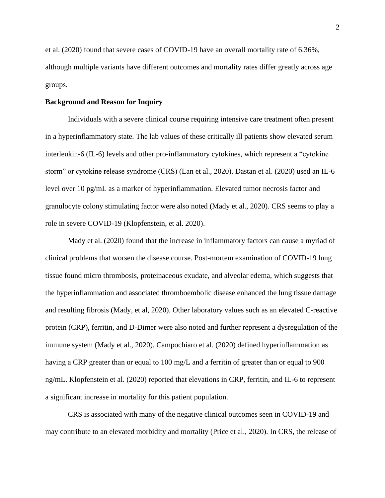et al. (2020) found that severe cases of COVID-19 have an overall mortality rate of 6.36%, although multiple variants have different outcomes and mortality rates differ greatly across age groups.

### **Background and Reason for Inquiry**

Individuals with a severe clinical course requiring intensive care treatment often present in a hyperinflammatory state. The lab values of these critically ill patients show elevated serum interleukin-6 (IL-6) levels and other pro-inflammatory cytokines, which represent a "cytokine storm" or cytokine release syndrome (CRS) (Lan et al., 2020). Dastan et al. (2020) used an IL-6 level over 10 pg/mL as a marker of hyperinflammation. Elevated tumor necrosis factor and granulocyte colony stimulating factor were also noted (Mady et al., 2020). CRS seems to play a role in severe COVID-19 (Klopfenstein, et al. 2020).

Mady et al. (2020) found that the increase in inflammatory factors can cause a myriad of clinical problems that worsen the disease course. Post-mortem examination of COVID-19 lung tissue found micro thrombosis, proteinaceous exudate, and alveolar edema, which suggests that the hyperinflammation and associated thromboembolic disease enhanced the lung tissue damage and resulting fibrosis (Mady, et al, 2020). Other laboratory values such as an elevated C-reactive protein (CRP), ferritin, and D-Dimer were also noted and further represent a dysregulation of the immune system (Mady et al., 2020). Campochiaro et al. (2020) defined hyperinflammation as having a CRP greater than or equal to 100 mg/L and a ferritin of greater than or equal to 900 ng/mL. Klopfenstein et al. (2020) reported that elevations in CRP, ferritin, and IL-6 to represent a significant increase in mortality for this patient population.

CRS is associated with many of the negative clinical outcomes seen in COVID-19 and may contribute to an elevated morbidity and mortality (Price et al., 2020). In CRS, the release of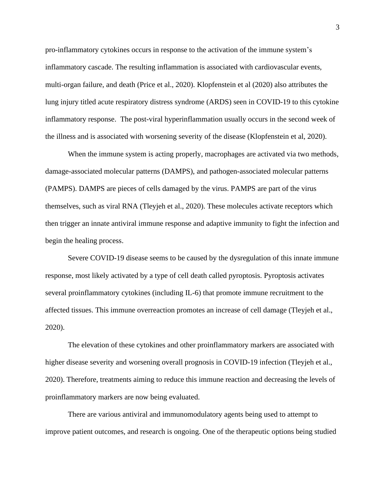pro-inflammatory cytokines occurs in response to the activation of the immune system's inflammatory cascade. The resulting inflammation is associated with cardiovascular events, multi-organ failure, and death (Price et al., 2020). Klopfenstein et al (2020) also attributes the lung injury titled acute respiratory distress syndrome (ARDS) seen in COVID-19 to this cytokine inflammatory response. The post-viral hyperinflammation usually occurs in the second week of the illness and is associated with worsening severity of the disease (Klopfenstein et al, 2020).

When the immune system is acting properly, macrophages are activated via two methods, damage-associated molecular patterns (DAMPS), and pathogen-associated molecular patterns (PAMPS). DAMPS are pieces of cells damaged by the virus. PAMPS are part of the virus themselves, such as viral RNA (Tleyjeh et al., 2020). These molecules activate receptors which then trigger an innate antiviral immune response and adaptive immunity to fight the infection and begin the healing process.

Severe COVID-19 disease seems to be caused by the dysregulation of this innate immune response, most likely activated by a type of cell death called pyroptosis. Pyroptosis activates several proinflammatory cytokines (including IL-6) that promote immune recruitment to the affected tissues. This immune overreaction promotes an increase of cell damage (Tleyjeh et al., 2020).

The elevation of these cytokines and other proinflammatory markers are associated with higher disease severity and worsening overall prognosis in COVID-19 infection (Tleyjeh et al., 2020). Therefore, treatments aiming to reduce this immune reaction and decreasing the levels of proinflammatory markers are now being evaluated.

There are various antiviral and immunomodulatory agents being used to attempt to improve patient outcomes, and research is ongoing. One of the therapeutic options being studied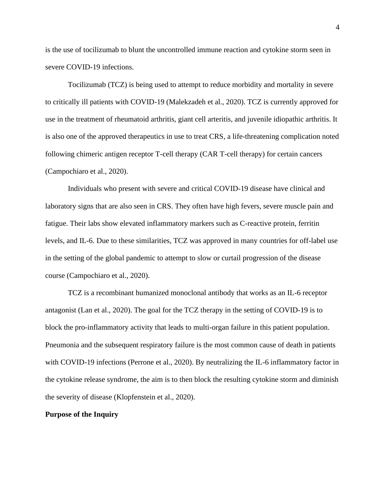is the use of tocilizumab to blunt the uncontrolled immune reaction and cytokine storm seen in severe COVID-19 infections.

Tocilizumab (TCZ) is being used to attempt to reduce morbidity and mortality in severe to critically ill patients with COVID-19 (Malekzadeh et al., 2020). TCZ is currently approved for use in the treatment of rheumatoid arthritis, giant cell arteritis, and juvenile idiopathic arthritis. It is also one of the approved therapeutics in use to treat CRS, a life-threatening complication noted following chimeric antigen receptor T-cell therapy (CAR T-cell therapy) for certain cancers (Campochiaro et al., 2020).

Individuals who present with severe and critical COVID-19 disease have clinical and laboratory signs that are also seen in CRS. They often have high fevers, severe muscle pain and fatigue. Their labs show elevated inflammatory markers such as C-reactive protein, ferritin levels, and IL-6. Due to these similarities, TCZ was approved in many countries for off-label use in the setting of the global pandemic to attempt to slow or curtail progression of the disease course (Campochiaro et al., 2020).

TCZ is a recombinant humanized monoclonal antibody that works as an IL-6 receptor antagonist (Lan et al., 2020). The goal for the TCZ therapy in the setting of COVID-19 is to block the pro-inflammatory activity that leads to multi-organ failure in this patient population. Pneumonia and the subsequent respiratory failure is the most common cause of death in patients with COVID-19 infections (Perrone et al., 2020). By neutralizing the IL-6 inflammatory factor in the cytokine release syndrome, the aim is to then block the resulting cytokine storm and diminish the severity of disease (Klopfenstein et al., 2020).

### **Purpose of the Inquiry**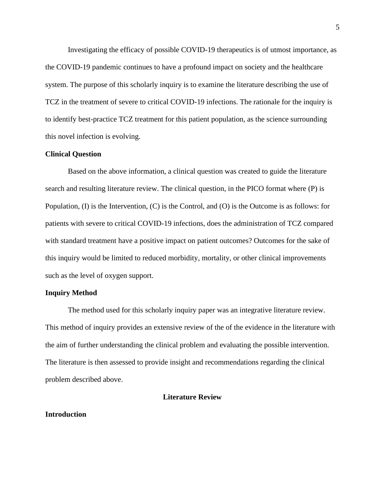Investigating the efficacy of possible COVID-19 therapeutics is of utmost importance, as the COVID-19 pandemic continues to have a profound impact on society and the healthcare system. The purpose of this scholarly inquiry is to examine the literature describing the use of TCZ in the treatment of severe to critical COVID-19 infections. The rationale for the inquiry is to identify best-practice TCZ treatment for this patient population, as the science surrounding this novel infection is evolving.

### **Clinical Question**

Based on the above information, a clinical question was created to guide the literature search and resulting literature review. The clinical question, in the PICO format where (P) is Population, (I) is the Intervention, (C) is the Control, and (O) is the Outcome is as follows: for patients with severe to critical COVID-19 infections, does the administration of TCZ compared with standard treatment have a positive impact on patient outcomes? Outcomes for the sake of this inquiry would be limited to reduced morbidity, mortality, or other clinical improvements such as the level of oxygen support.

### **Inquiry Method**

The method used for this scholarly inquiry paper was an integrative literature review. This method of inquiry provides an extensive review of the of the evidence in the literature with the aim of further understanding the clinical problem and evaluating the possible intervention. The literature is then assessed to provide insight and recommendations regarding the clinical problem described above.

### **Literature Review**

### **Introduction**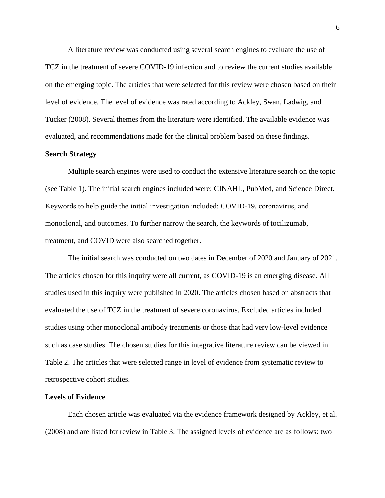A literature review was conducted using several search engines to evaluate the use of TCZ in the treatment of severe COVID-19 infection and to review the current studies available on the emerging topic. The articles that were selected for this review were chosen based on their level of evidence. The level of evidence was rated according to Ackley, Swan, Ladwig, and Tucker (2008). Several themes from the literature were identified. The available evidence was evaluated, and recommendations made for the clinical problem based on these findings.

### **Search Strategy**

Multiple search engines were used to conduct the extensive literature search on the topic (see Table 1). The initial search engines included were: CINAHL, PubMed, and Science Direct. Keywords to help guide the initial investigation included: COVID-19, coronavirus, and monoclonal, and outcomes. To further narrow the search, the keywords of tocilizumab, treatment, and COVID were also searched together.

The initial search was conducted on two dates in December of 2020 and January of 2021. The articles chosen for this inquiry were all current, as COVID-19 is an emerging disease. All studies used in this inquiry were published in 2020. The articles chosen based on abstracts that evaluated the use of TCZ in the treatment of severe coronavirus. Excluded articles included studies using other monoclonal antibody treatments or those that had very low-level evidence such as case studies. The chosen studies for this integrative literature review can be viewed in Table 2. The articles that were selected range in level of evidence from systematic review to retrospective cohort studies.

### **Levels of Evidence**

Each chosen article was evaluated via the evidence framework designed by Ackley, et al. (2008) and are listed for review in Table 3. The assigned levels of evidence are as follows: two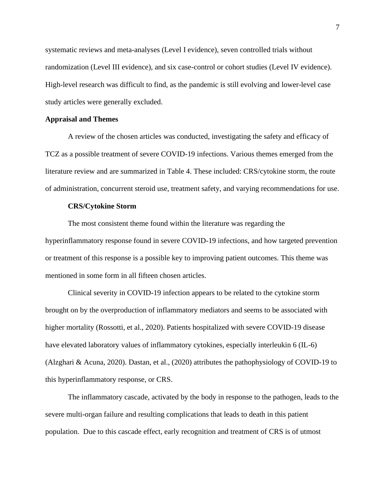systematic reviews and meta-analyses (Level I evidence), seven controlled trials without randomization (Level III evidence), and six case-control or cohort studies (Level IV evidence). High-level research was difficult to find, as the pandemic is still evolving and lower-level case study articles were generally excluded.

### **Appraisal and Themes**

A review of the chosen articles was conducted, investigating the safety and efficacy of TCZ as a possible treatment of severe COVID-19 infections. Various themes emerged from the literature review and are summarized in Table 4. These included: CRS/cytokine storm, the route of administration, concurrent steroid use, treatment safety, and varying recommendations for use.

### **CRS/Cytokine Storm**

The most consistent theme found within the literature was regarding the hyperinflammatory response found in severe COVID-19 infections, and how targeted prevention or treatment of this response is a possible key to improving patient outcomes. This theme was mentioned in some form in all fifteen chosen articles.

Clinical severity in COVID-19 infection appears to be related to the cytokine storm brought on by the overproduction of inflammatory mediators and seems to be associated with higher mortality (Rossotti, et al., 2020). Patients hospitalized with severe COVID-19 disease have elevated laboratory values of inflammatory cytokines, especially interleukin 6 (IL-6) (Alzghari & Acuna, 2020). Dastan, et al., (2020) attributes the pathophysiology of COVID-19 to this hyperinflammatory response, or CRS.

The inflammatory cascade, activated by the body in response to the pathogen, leads to the severe multi-organ failure and resulting complications that leads to death in this patient population. Due to this cascade effect, early recognition and treatment of CRS is of utmost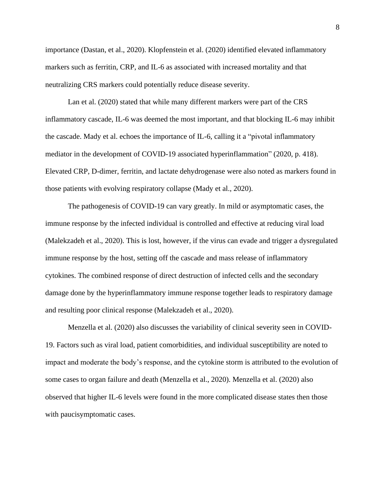importance (Dastan, et al., 2020). Klopfenstein et al. (2020) identified elevated inflammatory markers such as ferritin, CRP, and IL-6 as associated with increased mortality and that neutralizing CRS markers could potentially reduce disease severity.

Lan et al. (2020) stated that while many different markers were part of the CRS inflammatory cascade, IL-6 was deemed the most important, and that blocking IL-6 may inhibit the cascade. Mady et al. echoes the importance of IL-6, calling it a "pivotal inflammatory mediator in the development of COVID-19 associated hyperinflammation" (2020, p. 418). Elevated CRP, D-dimer, ferritin, and lactate dehydrogenase were also noted as markers found in those patients with evolving respiratory collapse (Mady et al., 2020).

The pathogenesis of COVID-19 can vary greatly. In mild or asymptomatic cases, the immune response by the infected individual is controlled and effective at reducing viral load (Malekzadeh et al., 2020). This is lost, however, if the virus can evade and trigger a dysregulated immune response by the host, setting off the cascade and mass release of inflammatory cytokines. The combined response of direct destruction of infected cells and the secondary damage done by the hyperinflammatory immune response together leads to respiratory damage and resulting poor clinical response (Malekzadeh et al., 2020).

Menzella et al. (2020) also discusses the variability of clinical severity seen in COVID-19. Factors such as viral load, patient comorbidities, and individual susceptibility are noted to impact and moderate the body's response, and the cytokine storm is attributed to the evolution of some cases to organ failure and death (Menzella et al., 2020). Menzella et al. (2020) also observed that higher IL-6 levels were found in the more complicated disease states then those with paucisymptomatic cases.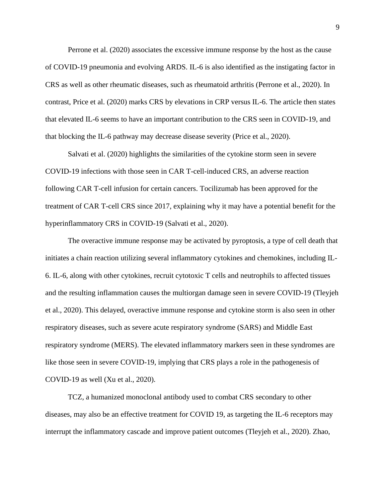Perrone et al. (2020) associates the excessive immune response by the host as the cause of COVID-19 pneumonia and evolving ARDS. IL-6 is also identified as the instigating factor in CRS as well as other rheumatic diseases, such as rheumatoid arthritis (Perrone et al., 2020). In contrast, Price et al. (2020) marks CRS by elevations in CRP versus IL-6. The article then states that elevated IL-6 seems to have an important contribution to the CRS seen in COVID-19, and that blocking the IL-6 pathway may decrease disease severity (Price et al., 2020).

Salvati et al. (2020) highlights the similarities of the cytokine storm seen in severe COVID-19 infections with those seen in CAR T-cell-induced CRS, an adverse reaction following CAR T-cell infusion for certain cancers. Tocilizumab has been approved for the treatment of CAR T-cell CRS since 2017, explaining why it may have a potential benefit for the hyperinflammatory CRS in COVID-19 (Salvati et al., 2020).

The overactive immune response may be activated by pyroptosis, a type of cell death that initiates a chain reaction utilizing several inflammatory cytokines and chemokines, including IL-6. IL-6, along with other cytokines, recruit cytotoxic T cells and neutrophils to affected tissues and the resulting inflammation causes the multiorgan damage seen in severe COVID-19 (Tleyjeh et al., 2020). This delayed, overactive immune response and cytokine storm is also seen in other respiratory diseases, such as severe acute respiratory syndrome (SARS) and Middle East respiratory syndrome (MERS). The elevated inflammatory markers seen in these syndromes are like those seen in severe COVID-19, implying that CRS plays a role in the pathogenesis of COVID-19 as well (Xu et al., 2020).

TCZ, a humanized monoclonal antibody used to combat CRS secondary to other diseases, may also be an effective treatment for COVID 19, as targeting the IL-6 receptors may interrupt the inflammatory cascade and improve patient outcomes (Tleyjeh et al., 2020). Zhao,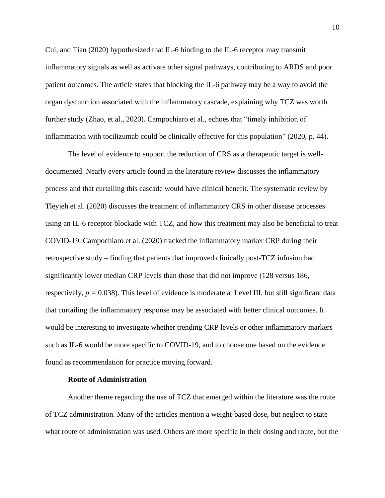Cui, and Tian (2020) hypothesized that IL-6 binding to the IL-6 receptor may transmit inflammatory signals as well as activate other signal pathways, contributing to ARDS and poor patient outcomes. The article states that blocking the IL-6 pathway may be a way to avoid the organ dysfunction associated with the inflammatory cascade, explaining why TCZ was worth further study (Zhao, et al., 2020). Campochiaro et al., echoes that "timely inhibition of inflammation with tocilizumab could be clinically effective for this population" (2020, p. 44).

The level of evidence to support the reduction of CRS as a therapeutic target is welldocumented. Nearly every article found in the literature review discusses the inflammatory process and that curtailing this cascade would have clinical benefit. The systematic review by Tleyjeh et al. (2020) discusses the treatment of inflammatory CRS in other disease processes using an IL-6 receptor blockade with TCZ, and how this treatment may also be beneficial to treat COVID-19. Campochiaro et al. (2020) tracked the inflammatory marker CRP during their retrospective study – finding that patients that improved clinically post-TCZ infusion had significantly lower median CRP levels than those that did not improve (128 versus 186, respectively,  $p = 0.038$ ). This level of evidence is moderate at Level III, but still significant data that curtailing the inflammatory response may be associated with better clinical outcomes. It would be interesting to investigate whether trending CRP levels or other inflammatory markers such as IL-6 would be more specific to COVID-19, and to choose one based on the evidence found as recommendation for practice moving forward.

### **Route of Administration**

Another theme regarding the use of TCZ that emerged within the literature was the route of TCZ administration. Many of the articles mention a weight-based dose, but neglect to state what route of administration was used. Others are more specific in their dosing and route, but the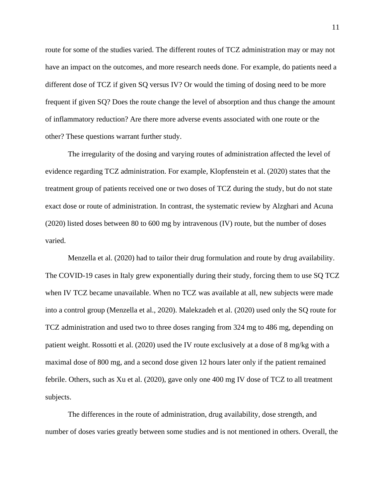route for some of the studies varied. The different routes of TCZ administration may or may not have an impact on the outcomes, and more research needs done. For example, do patients need a different dose of TCZ if given SQ versus IV? Or would the timing of dosing need to be more frequent if given SQ? Does the route change the level of absorption and thus change the amount of inflammatory reduction? Are there more adverse events associated with one route or the other? These questions warrant further study.

The irregularity of the dosing and varying routes of administration affected the level of evidence regarding TCZ administration. For example, Klopfenstein et al. (2020) states that the treatment group of patients received one or two doses of TCZ during the study, but do not state exact dose or route of administration. In contrast, the systematic review by Alzghari and Acuna (2020) listed doses between 80 to 600 mg by intravenous (IV) route, but the number of doses varied.

Menzella et al. (2020) had to tailor their drug formulation and route by drug availability. The COVID-19 cases in Italy grew exponentially during their study, forcing them to use SQ TCZ when IV TCZ became unavailable. When no TCZ was available at all, new subjects were made into a control group (Menzella et al., 2020). Malekzadeh et al. (2020) used only the SQ route for TCZ administration and used two to three doses ranging from 324 mg to 486 mg, depending on patient weight. Rossotti et al. (2020) used the IV route exclusively at a dose of 8 mg/kg with a maximal dose of 800 mg, and a second dose given 12 hours later only if the patient remained febrile. Others, such as Xu et al. (2020), gave only one 400 mg IV dose of TCZ to all treatment subjects.

The differences in the route of administration, drug availability, dose strength, and number of doses varies greatly between some studies and is not mentioned in others. Overall, the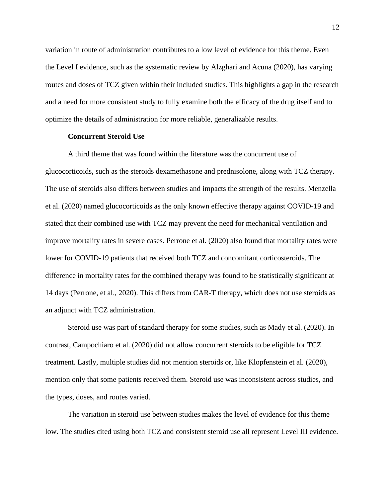variation in route of administration contributes to a low level of evidence for this theme. Even the Level I evidence, such as the systematic review by Alzghari and Acuna (2020), has varying routes and doses of TCZ given within their included studies. This highlights a gap in the research and a need for more consistent study to fully examine both the efficacy of the drug itself and to optimize the details of administration for more reliable, generalizable results.

### **Concurrent Steroid Use**

A third theme that was found within the literature was the concurrent use of glucocorticoids, such as the steroids dexamethasone and prednisolone, along with TCZ therapy. The use of steroids also differs between studies and impacts the strength of the results. Menzella et al. (2020) named glucocorticoids as the only known effective therapy against COVID-19 and stated that their combined use with TCZ may prevent the need for mechanical ventilation and improve mortality rates in severe cases. Perrone et al. (2020) also found that mortality rates were lower for COVID-19 patients that received both TCZ and concomitant corticosteroids. The difference in mortality rates for the combined therapy was found to be statistically significant at 14 days (Perrone, et al., 2020). This differs from CAR-T therapy, which does not use steroids as an adjunct with TCZ administration.

Steroid use was part of standard therapy for some studies, such as Mady et al. (2020). In contrast, Campochiaro et al. (2020) did not allow concurrent steroids to be eligible for TCZ treatment. Lastly, multiple studies did not mention steroids or, like Klopfenstein et al. (2020), mention only that some patients received them. Steroid use was inconsistent across studies, and the types, doses, and routes varied.

The variation in steroid use between studies makes the level of evidence for this theme low. The studies cited using both TCZ and consistent steroid use all represent Level III evidence.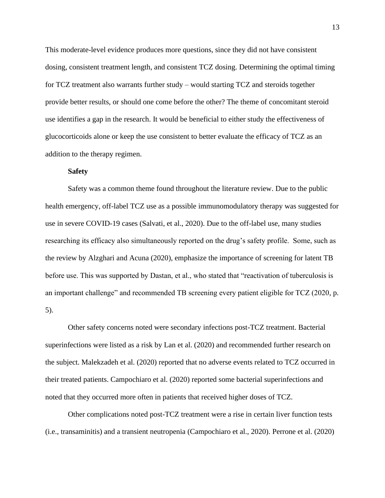This moderate-level evidence produces more questions, since they did not have consistent dosing, consistent treatment length, and consistent TCZ dosing. Determining the optimal timing for TCZ treatment also warrants further study – would starting TCZ and steroids together provide better results, or should one come before the other? The theme of concomitant steroid use identifies a gap in the research. It would be beneficial to either study the effectiveness of glucocorticoids alone or keep the use consistent to better evaluate the efficacy of TCZ as an addition to the therapy regimen.

### **Safety**

Safety was a common theme found throughout the literature review. Due to the public health emergency, off-label TCZ use as a possible immunomodulatory therapy was suggested for use in severe COVID-19 cases (Salvati, et al., 2020). Due to the off-label use, many studies researching its efficacy also simultaneously reported on the drug's safety profile. Some, such as the review by Alzghari and Acuna (2020), emphasize the importance of screening for latent TB before use. This was supported by Dastan, et al., who stated that "reactivation of tuberculosis is an important challenge" and recommended TB screening every patient eligible for TCZ (2020, p. 5).

Other safety concerns noted were secondary infections post-TCZ treatment. Bacterial superinfections were listed as a risk by Lan et al. (2020) and recommended further research on the subject. Malekzadeh et al. (2020) reported that no adverse events related to TCZ occurred in their treated patients. Campochiaro et al. (2020) reported some bacterial superinfections and noted that they occurred more often in patients that received higher doses of TCZ.

Other complications noted post-TCZ treatment were a rise in certain liver function tests (i.e., transaminitis) and a transient neutropenia (Campochiaro et al., 2020). Perrone et al. (2020)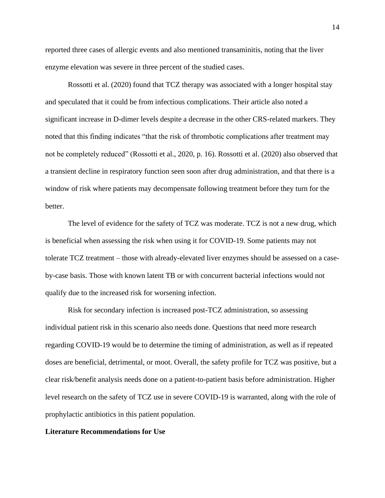reported three cases of allergic events and also mentioned transaminitis, noting that the liver enzyme elevation was severe in three percent of the studied cases.

Rossotti et al. (2020) found that TCZ therapy was associated with a longer hospital stay and speculated that it could be from infectious complications. Their article also noted a significant increase in D-dimer levels despite a decrease in the other CRS-related markers. They noted that this finding indicates "that the risk of thrombotic complications after treatment may not be completely reduced" (Rossotti et al., 2020, p. 16). Rossotti et al. (2020) also observed that a transient decline in respiratory function seen soon after drug administration, and that there is a window of risk where patients may decompensate following treatment before they turn for the better.

The level of evidence for the safety of TCZ was moderate. TCZ is not a new drug, which is beneficial when assessing the risk when using it for COVID-19. Some patients may not tolerate TCZ treatment – those with already-elevated liver enzymes should be assessed on a caseby-case basis. Those with known latent TB or with concurrent bacterial infections would not qualify due to the increased risk for worsening infection.

Risk for secondary infection is increased post-TCZ administration, so assessing individual patient risk in this scenario also needs done. Questions that need more research regarding COVID-19 would be to determine the timing of administration, as well as if repeated doses are beneficial, detrimental, or moot. Overall, the safety profile for TCZ was positive, but a clear risk/benefit analysis needs done on a patient-to-patient basis before administration. Higher level research on the safety of TCZ use in severe COVID-19 is warranted, along with the role of prophylactic antibiotics in this patient population.

### **Literature Recommendations for Use**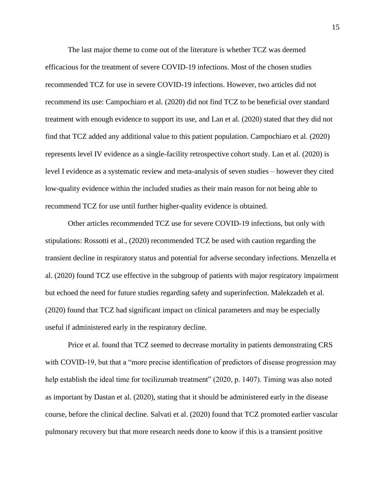The last major theme to come out of the literature is whether TCZ was deemed efficacious for the treatment of severe COVID-19 infections. Most of the chosen studies recommended TCZ for use in severe COVID-19 infections. However, two articles did not recommend its use: Campochiaro et al. (2020) did not find TCZ to be beneficial over standard treatment with enough evidence to support its use, and Lan et al. (2020) stated that they did not find that TCZ added any additional value to this patient population. Campochiaro et al. (2020) represents level IV evidence as a single-facility retrospective cohort study. Lan et al. (2020) is level I evidence as a systematic review and meta-analysis of seven studies – however they cited low-quality evidence within the included studies as their main reason for not being able to recommend TCZ for use until further higher-quality evidence is obtained.

Other articles recommended TCZ use for severe COVID-19 infections, but only with stipulations: Rossotti et al., (2020) recommended TCZ be used with caution regarding the transient decline in respiratory status and potential for adverse secondary infections. Menzella et al. (2020) found TCZ use effective in the subgroup of patients with major respiratory impairment but echoed the need for future studies regarding safety and superinfection. Malekzadeh et al. (2020) found that TCZ had significant impact on clinical parameters and may be especially useful if administered early in the respiratory decline.

Price et al. found that TCZ seemed to decrease mortality in patients demonstrating CRS with COVID-19, but that a "more precise identification of predictors of disease progression may help establish the ideal time for tocilizumab treatment" (2020, p. 1407). Timing was also noted as important by Dastan et al. (2020), stating that it should be administered early in the disease course, before the clinical decline. Salvati et al. (2020) found that TCZ promoted earlier vascular pulmonary recovery but that more research needs done to know if this is a transient positive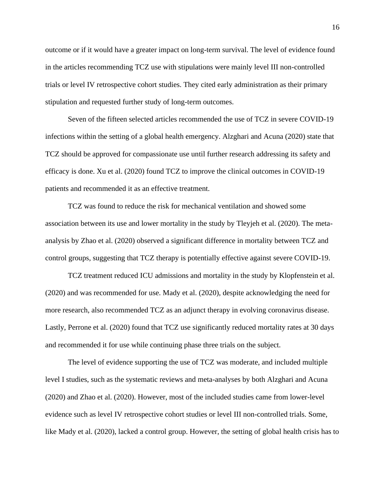outcome or if it would have a greater impact on long-term survival. The level of evidence found in the articles recommending TCZ use with stipulations were mainly level III non-controlled trials or level IV retrospective cohort studies. They cited early administration as their primary stipulation and requested further study of long-term outcomes.

Seven of the fifteen selected articles recommended the use of TCZ in severe COVID-19 infections within the setting of a global health emergency. Alzghari and Acuna (2020) state that TCZ should be approved for compassionate use until further research addressing its safety and efficacy is done. Xu et al. (2020) found TCZ to improve the clinical outcomes in COVID-19 patients and recommended it as an effective treatment.

TCZ was found to reduce the risk for mechanical ventilation and showed some association between its use and lower mortality in the study by Tleyjeh et al. (2020). The metaanalysis by Zhao et al. (2020) observed a significant difference in mortality between TCZ and control groups, suggesting that TCZ therapy is potentially effective against severe COVID-19.

TCZ treatment reduced ICU admissions and mortality in the study by Klopfenstein et al. (2020) and was recommended for use. Mady et al. (2020), despite acknowledging the need for more research, also recommended TCZ as an adjunct therapy in evolving coronavirus disease. Lastly, Perrone et al. (2020) found that TCZ use significantly reduced mortality rates at 30 days and recommended it for use while continuing phase three trials on the subject.

The level of evidence supporting the use of TCZ was moderate, and included multiple level I studies, such as the systematic reviews and meta-analyses by both Alzghari and Acuna (2020) and Zhao et al. (2020). However, most of the included studies came from lower-level evidence such as level IV retrospective cohort studies or level III non-controlled trials. Some, like Mady et al. (2020), lacked a control group. However, the setting of global health crisis has to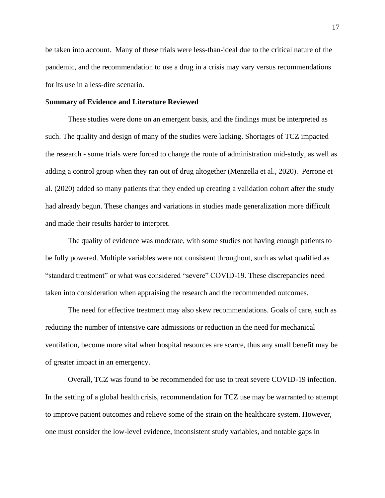be taken into account. Many of these trials were less-than-ideal due to the critical nature of the pandemic, and the recommendation to use a drug in a crisis may vary versus recommendations for its use in a less-dire scenario.

### S**ummary of Evidence and Literature Reviewed**

These studies were done on an emergent basis, and the findings must be interpreted as such. The quality and design of many of the studies were lacking. Shortages of TCZ impacted the research - some trials were forced to change the route of administration mid-study, as well as adding a control group when they ran out of drug altogether (Menzella et al., 2020). Perrone et al. (2020) added so many patients that they ended up creating a validation cohort after the study had already begun. These changes and variations in studies made generalization more difficult and made their results harder to interpret.

The quality of evidence was moderate, with some studies not having enough patients to be fully powered. Multiple variables were not consistent throughout, such as what qualified as "standard treatment" or what was considered "severe" COVID-19. These discrepancies need taken into consideration when appraising the research and the recommended outcomes.

The need for effective treatment may also skew recommendations. Goals of care, such as reducing the number of intensive care admissions or reduction in the need for mechanical ventilation, become more vital when hospital resources are scarce, thus any small benefit may be of greater impact in an emergency.

Overall, TCZ was found to be recommended for use to treat severe COVID-19 infection. In the setting of a global health crisis, recommendation for TCZ use may be warranted to attempt to improve patient outcomes and relieve some of the strain on the healthcare system. However, one must consider the low-level evidence, inconsistent study variables, and notable gaps in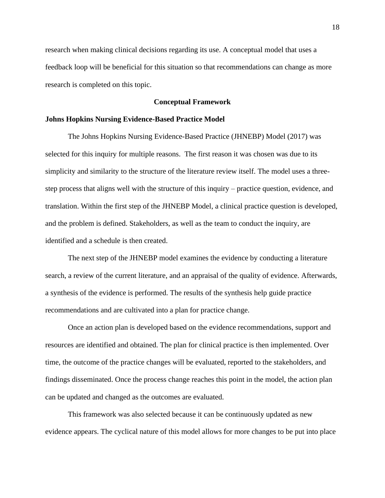research when making clinical decisions regarding its use. A conceptual model that uses a feedback loop will be beneficial for this situation so that recommendations can change as more research is completed on this topic.

### **Conceptual Framework**

### **Johns Hopkins Nursing Evidence-Based Practice Model**

The Johns Hopkins Nursing Evidence-Based Practice (JHNEBP) Model (2017) was selected for this inquiry for multiple reasons. The first reason it was chosen was due to its simplicity and similarity to the structure of the literature review itself. The model uses a threestep process that aligns well with the structure of this inquiry – practice question, evidence, and translation. Within the first step of the JHNEBP Model, a clinical practice question is developed, and the problem is defined. Stakeholders, as well as the team to conduct the inquiry, are identified and a schedule is then created.

The next step of the JHNEBP model examines the evidence by conducting a literature search, a review of the current literature, and an appraisal of the quality of evidence. Afterwards, a synthesis of the evidence is performed. The results of the synthesis help guide practice recommendations and are cultivated into a plan for practice change.

Once an action plan is developed based on the evidence recommendations, support and resources are identified and obtained. The plan for clinical practice is then implemented. Over time, the outcome of the practice changes will be evaluated, reported to the stakeholders, and findings disseminated. Once the process change reaches this point in the model, the action plan can be updated and changed as the outcomes are evaluated.

This framework was also selected because it can be continuously updated as new evidence appears. The cyclical nature of this model allows for more changes to be put into place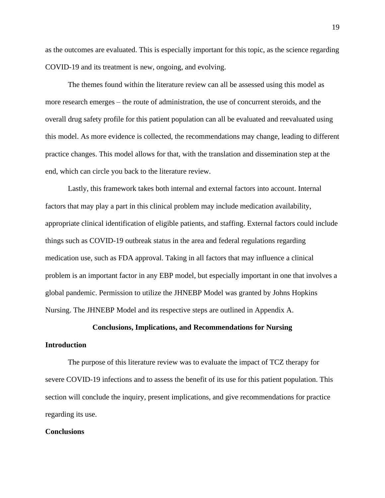as the outcomes are evaluated. This is especially important for this topic, as the science regarding COVID-19 and its treatment is new, ongoing, and evolving.

The themes found within the literature review can all be assessed using this model as more research emerges – the route of administration, the use of concurrent steroids, and the overall drug safety profile for this patient population can all be evaluated and reevaluated using this model. As more evidence is collected, the recommendations may change, leading to different practice changes. This model allows for that, with the translation and dissemination step at the end, which can circle you back to the literature review.

Lastly, this framework takes both internal and external factors into account. Internal factors that may play a part in this clinical problem may include medication availability, appropriate clinical identification of eligible patients, and staffing. External factors could include things such as COVID-19 outbreak status in the area and federal regulations regarding medication use, such as FDA approval. Taking in all factors that may influence a clinical problem is an important factor in any EBP model, but especially important in one that involves a global pandemic. Permission to utilize the JHNEBP Model was granted by Johns Hopkins Nursing. The JHNEBP Model and its respective steps are outlined in Appendix A.

### **Conclusions, Implications, and Recommendations for Nursing**

### **Introduction**

The purpose of this literature review was to evaluate the impact of TCZ therapy for severe COVID-19 infections and to assess the benefit of its use for this patient population. This section will conclude the inquiry, present implications, and give recommendations for practice regarding its use.

### **Conclusions**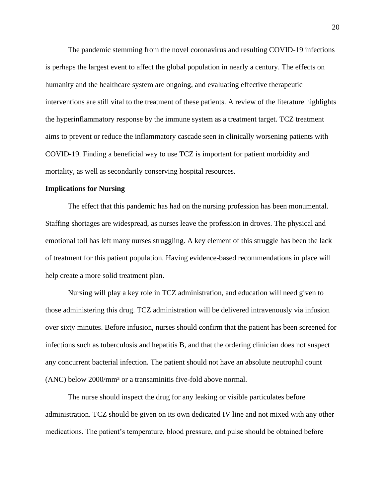The pandemic stemming from the novel coronavirus and resulting COVID-19 infections is perhaps the largest event to affect the global population in nearly a century. The effects on humanity and the healthcare system are ongoing, and evaluating effective therapeutic interventions are still vital to the treatment of these patients. A review of the literature highlights the hyperinflammatory response by the immune system as a treatment target. TCZ treatment aims to prevent or reduce the inflammatory cascade seen in clinically worsening patients with COVID-19. Finding a beneficial way to use TCZ is important for patient morbidity and mortality, as well as secondarily conserving hospital resources.

### **Implications for Nursing**

The effect that this pandemic has had on the nursing profession has been monumental. Staffing shortages are widespread, as nurses leave the profession in droves. The physical and emotional toll has left many nurses struggling. A key element of this struggle has been the lack of treatment for this patient population. Having evidence-based recommendations in place will help create a more solid treatment plan.

Nursing will play a key role in TCZ administration, and education will need given to those administering this drug. TCZ administration will be delivered intravenously via infusion over sixty minutes. Before infusion, nurses should confirm that the patient has been screened for infections such as tuberculosis and hepatitis B, and that the ordering clinician does not suspect any concurrent bacterial infection. The patient should not have an absolute neutrophil count (ANC) below 2000/mm<sup>3</sup> or a transaminitis five-fold above normal.

The nurse should inspect the drug for any leaking or visible particulates before administration. TCZ should be given on its own dedicated IV line and not mixed with any other medications. The patient's temperature, blood pressure, and pulse should be obtained before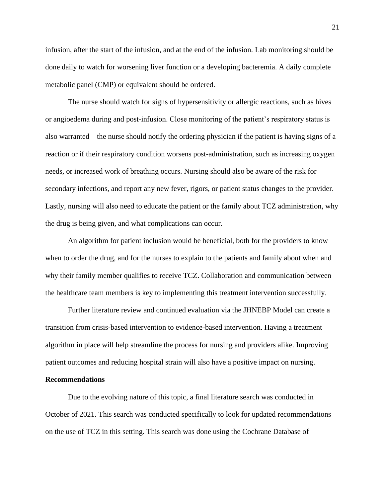infusion, after the start of the infusion, and at the end of the infusion. Lab monitoring should be done daily to watch for worsening liver function or a developing bacteremia. A daily complete metabolic panel (CMP) or equivalent should be ordered.

The nurse should watch for signs of hypersensitivity or allergic reactions, such as hives or angioedema during and post-infusion. Close monitoring of the patient's respiratory status is also warranted – the nurse should notify the ordering physician if the patient is having signs of a reaction or if their respiratory condition worsens post-administration, such as increasing oxygen needs, or increased work of breathing occurs. Nursing should also be aware of the risk for secondary infections, and report any new fever, rigors, or patient status changes to the provider. Lastly, nursing will also need to educate the patient or the family about TCZ administration, why the drug is being given, and what complications can occur.

An algorithm for patient inclusion would be beneficial, both for the providers to know when to order the drug, and for the nurses to explain to the patients and family about when and why their family member qualifies to receive TCZ. Collaboration and communication between the healthcare team members is key to implementing this treatment intervention successfully.

Further literature review and continued evaluation via the JHNEBP Model can create a transition from crisis-based intervention to evidence-based intervention. Having a treatment algorithm in place will help streamline the process for nursing and providers alike. Improving patient outcomes and reducing hospital strain will also have a positive impact on nursing.

### **Recommendations**

Due to the evolving nature of this topic, a final literature search was conducted in October of 2021. This search was conducted specifically to look for updated recommendations on the use of TCZ in this setting. This search was done using the Cochrane Database of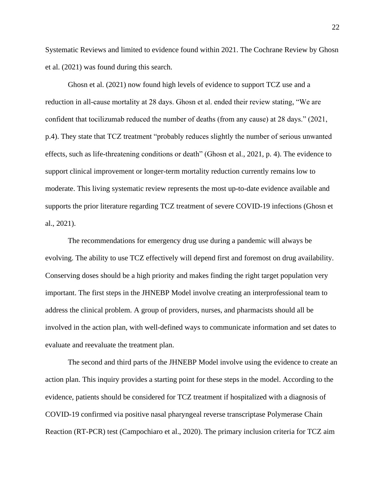Systematic Reviews and limited to evidence found within 2021. The Cochrane Review by Ghosn et al. (2021) was found during this search.

Ghosn et al. (2021) now found high levels of evidence to support TCZ use and a reduction in all-cause mortality at 28 days. Ghosn et al. ended their review stating, "We are confident that tocilizumab reduced the number of deaths (from any cause) at 28 days." (2021, p.4). They state that TCZ treatment "probably reduces slightly the number of serious unwanted effects, such as life-threatening conditions or death" (Ghosn et al., 2021, p. 4). The evidence to support clinical improvement or longer-term mortality reduction currently remains low to moderate. This living systematic review represents the most up-to-date evidence available and supports the prior literature regarding TCZ treatment of severe COVID-19 infections (Ghosn et al., 2021).

The recommendations for emergency drug use during a pandemic will always be evolving. The ability to use TCZ effectively will depend first and foremost on drug availability. Conserving doses should be a high priority and makes finding the right target population very important. The first steps in the JHNEBP Model involve creating an interprofessional team to address the clinical problem. A group of providers, nurses, and pharmacists should all be involved in the action plan, with well-defined ways to communicate information and set dates to evaluate and reevaluate the treatment plan.

The second and third parts of the JHNEBP Model involve using the evidence to create an action plan. This inquiry provides a starting point for these steps in the model. According to the evidence, patients should be considered for TCZ treatment if hospitalized with a diagnosis of COVID-19 confirmed via positive nasal pharyngeal reverse transcriptase Polymerase Chain Reaction (RT-PCR) test (Campochiaro et al., 2020). The primary inclusion criteria for TCZ aim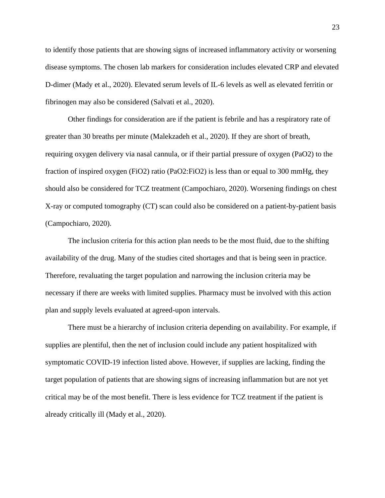to identify those patients that are showing signs of increased inflammatory activity or worsening disease symptoms. The chosen lab markers for consideration includes elevated CRP and elevated D-dimer (Mady et al., 2020). Elevated serum levels of IL-6 levels as well as elevated ferritin or fibrinogen may also be considered (Salvati et al., 2020).

Other findings for consideration are if the patient is febrile and has a respiratory rate of greater than 30 breaths per minute (Malekzadeh et al., 2020). If they are short of breath, requiring oxygen delivery via nasal cannula, or if their partial pressure of oxygen (PaO2) to the fraction of inspired oxygen (FiO2) ratio (PaO2:FiO2) is less than or equal to 300 mmHg, they should also be considered for TCZ treatment (Campochiaro, 2020). Worsening findings on chest X-ray or computed tomography (CT) scan could also be considered on a patient-by-patient basis (Campochiaro, 2020).

The inclusion criteria for this action plan needs to be the most fluid, due to the shifting availability of the drug. Many of the studies cited shortages and that is being seen in practice. Therefore, revaluating the target population and narrowing the inclusion criteria may be necessary if there are weeks with limited supplies. Pharmacy must be involved with this action plan and supply levels evaluated at agreed-upon intervals.

There must be a hierarchy of inclusion criteria depending on availability. For example, if supplies are plentiful, then the net of inclusion could include any patient hospitalized with symptomatic COVID-19 infection listed above. However, if supplies are lacking, finding the target population of patients that are showing signs of increasing inflammation but are not yet critical may be of the most benefit. There is less evidence for TCZ treatment if the patient is already critically ill (Mady et al., 2020).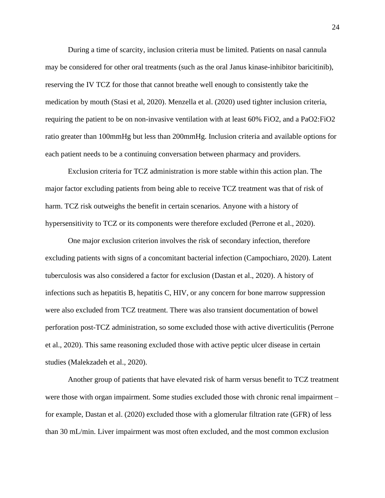During a time of scarcity, inclusion criteria must be limited. Patients on nasal cannula may be considered for other oral treatments (such as the oral Janus kinase-inhibitor baricitinib), reserving the IV TCZ for those that cannot breathe well enough to consistently take the medication by mouth (Stasi et al, 2020). Menzella et al. (2020) used tighter inclusion criteria, requiring the patient to be on non-invasive ventilation with at least 60% FiO2, and a PaO2:FiO2 ratio greater than 100mmHg but less than 200mmHg. Inclusion criteria and available options for each patient needs to be a continuing conversation between pharmacy and providers.

Exclusion criteria for TCZ administration is more stable within this action plan. The major factor excluding patients from being able to receive TCZ treatment was that of risk of harm. TCZ risk outweighs the benefit in certain scenarios. Anyone with a history of hypersensitivity to TCZ or its components were therefore excluded (Perrone et al., 2020).

One major exclusion criterion involves the risk of secondary infection, therefore excluding patients with signs of a concomitant bacterial infection (Campochiaro, 2020). Latent tuberculosis was also considered a factor for exclusion (Dastan et al., 2020). A history of infections such as hepatitis B, hepatitis C, HIV, or any concern for bone marrow suppression were also excluded from TCZ treatment. There was also transient documentation of bowel perforation post-TCZ administration, so some excluded those with active diverticulitis (Perrone et al., 2020). This same reasoning excluded those with active peptic ulcer disease in certain studies (Malekzadeh et al., 2020).

Another group of patients that have elevated risk of harm versus benefit to TCZ treatment were those with organ impairment. Some studies excluded those with chronic renal impairment – for example, Dastan et al. (2020) excluded those with a glomerular filtration rate (GFR) of less than 30 mL/min. Liver impairment was most often excluded, and the most common exclusion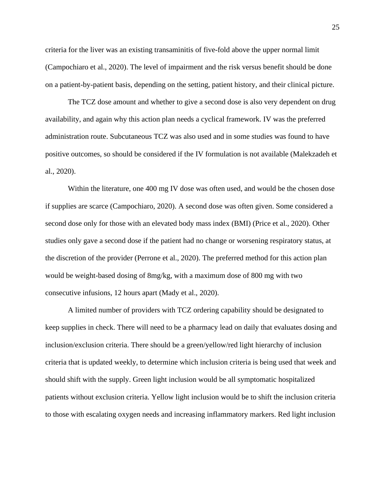criteria for the liver was an existing transaminitis of five-fold above the upper normal limit (Campochiaro et al., 2020). The level of impairment and the risk versus benefit should be done on a patient-by-patient basis, depending on the setting, patient history, and their clinical picture.

The TCZ dose amount and whether to give a second dose is also very dependent on drug availability, and again why this action plan needs a cyclical framework. IV was the preferred administration route. Subcutaneous TCZ was also used and in some studies was found to have positive outcomes, so should be considered if the IV formulation is not available (Malekzadeh et al., 2020).

Within the literature, one 400 mg IV dose was often used, and would be the chosen dose if supplies are scarce (Campochiaro, 2020). A second dose was often given. Some considered a second dose only for those with an elevated body mass index (BMI) (Price et al., 2020). Other studies only gave a second dose if the patient had no change or worsening respiratory status, at the discretion of the provider (Perrone et al., 2020). The preferred method for this action plan would be weight-based dosing of 8mg/kg, with a maximum dose of 800 mg with two consecutive infusions, 12 hours apart (Mady et al., 2020).

A limited number of providers with TCZ ordering capability should be designated to keep supplies in check. There will need to be a pharmacy lead on daily that evaluates dosing and inclusion/exclusion criteria. There should be a green/yellow/red light hierarchy of inclusion criteria that is updated weekly, to determine which inclusion criteria is being used that week and should shift with the supply. Green light inclusion would be all symptomatic hospitalized patients without exclusion criteria. Yellow light inclusion would be to shift the inclusion criteria to those with escalating oxygen needs and increasing inflammatory markers. Red light inclusion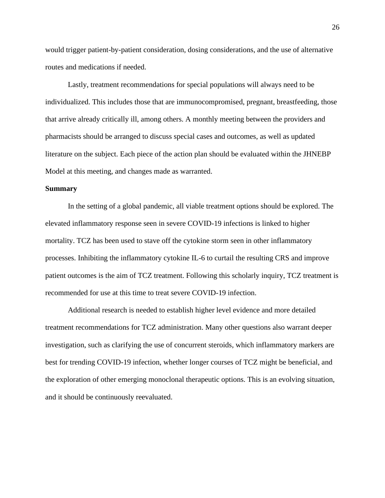would trigger patient-by-patient consideration, dosing considerations, and the use of alternative routes and medications if needed.

Lastly, treatment recommendations for special populations will always need to be individualized. This includes those that are immunocompromised, pregnant, breastfeeding, those that arrive already critically ill, among others. A monthly meeting between the providers and pharmacists should be arranged to discuss special cases and outcomes, as well as updated literature on the subject. Each piece of the action plan should be evaluated within the JHNEBP Model at this meeting, and changes made as warranted.

### **Summary**

In the setting of a global pandemic, all viable treatment options should be explored. The elevated inflammatory response seen in severe COVID-19 infections is linked to higher mortality. TCZ has been used to stave off the cytokine storm seen in other inflammatory processes. Inhibiting the inflammatory cytokine IL-6 to curtail the resulting CRS and improve patient outcomes is the aim of TCZ treatment. Following this scholarly inquiry, TCZ treatment is recommended for use at this time to treat severe COVID-19 infection.

Additional research is needed to establish higher level evidence and more detailed treatment recommendations for TCZ administration. Many other questions also warrant deeper investigation, such as clarifying the use of concurrent steroids, which inflammatory markers are best for trending COVID-19 infection, whether longer courses of TCZ might be beneficial, and the exploration of other emerging monoclonal therapeutic options. This is an evolving situation, and it should be continuously reevaluated.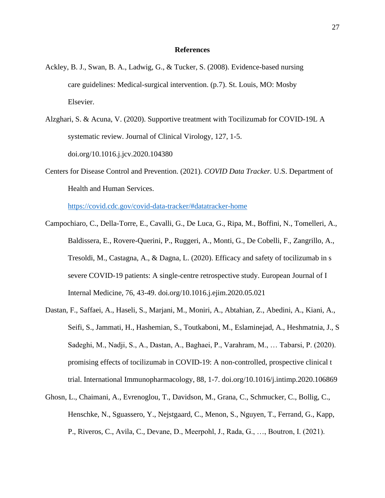### **References**

- Ackley, B. J., Swan, B. A., Ladwig, G., & Tucker, S. (2008). Evidence-based nursing care guidelines: Medical-surgical intervention. (p.7). St. Louis, MO: Mosby Elsevier.
- Alzghari, S. & Acuna, V. (2020). Supportive treatment with Tocilizumab for COVID-19L A systematic review. Journal of Clinical Virology, 127, 1-5. doi.org/10.1016.j.jcv.2020.104380
- Centers for Disease Control and Prevention. (2021). *COVID Data Tracker.* U.S. Department of Health and Human Services.

[https://covid.cdc.gov/covid-data-tracker/#datatracker-home](file:///C:/Users/Amanda2/Documents/%09https:/covid.cdc.gov/covid-data-tracker/%23datatracker-home)

- Campochiaro, C., Della-Torre, E., Cavalli, G., De Luca, G., Ripa, M., Boffini, N., Tomelleri, A., Baldissera, E., Rovere-Querini, P., Ruggeri, A., Monti, G., De Cobelli, F., Zangrillo, A., Tresoldi, M., Castagna, A., & Dagna, L. (2020). Efficacy and safety of tocilizumab in s severe COVID-19 patients: A single-centre retrospective study. European Journal of I Internal Medicine, 76, 43-49. doi.org/10.1016.j.ejim.2020.05.021
- Dastan, F., Saffaei, A., Haseli, S., Marjani, M., Moniri, A., Abtahian, Z., Abedini, A., Kiani, A., Seifi, S., Jammati, H., Hashemian, S., Toutkaboni, M., Eslaminejad, A., Heshmatnia, J., S Sadeghi, M., Nadji, S., A., Dastan, A., Baghaei, P., Varahram, M., … Tabarsi, P. (2020). promising effects of tocilizumab in COVID-19: A non-controlled, prospective clinical t trial. International Immunopharmacology, 88, 1-7. doi.org/10.1016/j.intimp.2020.106869
- Ghosn, L., Chaimani, A., Evrenoglou, T., Davidson, M., Grana, C., Schmucker, C., Bollig, C., Henschke, N., Sguassero, Y., Nejstgaard, C., Menon, S., Nguyen, T., Ferrand, G., Kapp, P., Riveros, C., Avila, C., Devane, D., Meerpohl, J., Rada, G., …, Boutron, I. (2021).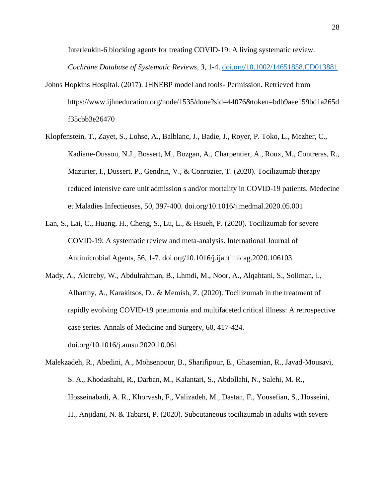Interleukin-6 blocking agents for treating COVID-19: A living systematic review. *Cochrane Database of Systematic Reviews, 3*, 1-4. [doi.org/10.1002/14651858.CD013881](https://doi.org/10.1002/14651858.CD013881)

- Johns Hopkins Hospital. (2017). JHNEBP model and tools- Permission. Retrieved from https://www.ijhneducation.org/node/1535/done?sid=44076&token=bdb9aee159bd1a265d f35cbb3e26470
- Klopfenstein, T., Zayet, S., Lohse, A., Balblanc, J., Badie, J., Royer, P. Toko, L., Mezher, C., Kadiane-Oussou, N.J., Bossert, M., Bozgan, A., Charpentier, A., Roux, M., Contreras, R., Mazurier, I., Dussert, P., Gendrin, V., & Conrozier, T. (2020). Tocilizumab therapy reduced intensive care unit admission s and/or mortality in COVID-19 patients. Medecine et Maladies Infectieuses, 50, 397-400. doi.org/10.1016/j.medmal.2020.05.001
- Lan, S., Lai, C., Huang, H., Cheng, S., Lu, L., & Hsueh, P. (2020). Tocilizumab for severe COVID-19: A systematic review and meta-analysis. International Journal of Antimicrobial Agents, 56, 1-7. doi.org/10.1016/j.ijantimicag.2020.106103
- Mady, A., Aletreby, W., Abdulrahman, B., Lhmdi, M., Noor, A., Alqahtani, S., Soliman, I., Alharthy, A., Karakitsos, D., & Memish, Z. (2020). Tocilizumab in the treatment of rapidly evolving COVID-19 pneumonia and multifaceted critical illness: A retrospective case series. Annals of Medicine and Surgery, 60, 417-424. doi.org/10.1016/j.amsu.2020.10.061

Malekzadeh, R., Abedini, A., Mohsenpour, B., Sharifipour, E., Ghasemian, R., Javad-Mousavi, S. A., Khodashahi, R., Darban, M., Kalantari, S., Abdollahi, N., Salehi, M. R., Hosseinabadi, A. R., Khorvash, F., Valizadeh, M., Dastan, F., Yousefian, S., Hosseini, H., Anjidani, N. & Tabarsi, P. (2020). Subcutaneous tocilizumab in adults with severe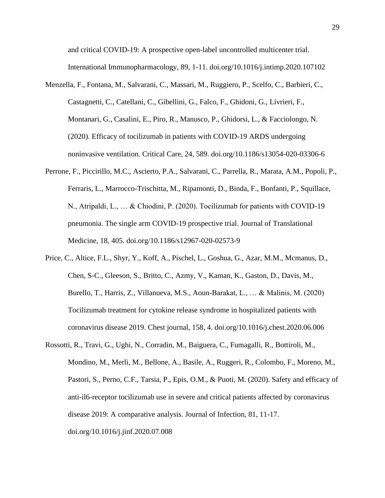and critical COVID-19: A prospective open-label uncontrolled multicenter trial. International Immunopharmacology, 89, 1-11. doi.org/10.1016/j.intimp.2020.107102

- Menzella, F., Fontana, M., Salvarani, C., Massari, M., Ruggiero, P., Scelfo, C., Barbieri, C., Castagnetti, C., Catellani, C., Gibellini, G., Falco, F., Ghidoni, G., Livrieri, F., Montanari, G., Casalini, E., Piro, R., Manusco, P., Ghidorsi, L., & Facciolongo, N. (2020). Efficacy of tocilizumab in patients with COVID-19 ARDS undergoing noninvasive ventilation. Critical Care, 24, 589. doi.org/10.1186/s13054-020-03306-6
- Perrone, F., Piccirillo, M.C., Ascierto, P.A., Salvarani, C., Parrella, R., Marata, A.M., Popoli, P., Ferraris, L., Marrocco-Trischitta, M., Ripamonti, D., Binda, F., Bonfanti, P., Squillace, N., Atripaldi, L., … & Chiodini, P. (2020). Tocilizumab for patients with COVID-19 pneumonia. The single arm COVID-19 prospective trial. Journal of Translational Medicine, 18, 405. doi.org/10.1186/s12967-020-02573-9
- Price, C., Altice, F.L., Shyr, Y., Koff, A., Pischel, L., Goshua, G., Azar, M.M., Mcmanus, D., Chen, S-C., Gleeson, S., Britto, C., Azmy, V., Kaman, K., Gaston, D., Davis, M., Burello, T., Harris, Z., Villanueva, M.S., Aoun-Barakat, L., … & Malinis, M. (2020) Tocilizumab treatment for cytokine release syndrome in hospitalized patients with coronavirus disease 2019. Chest journal, 158, 4. doi.org/10.1016/j.chest.2020.06.006
- Rossotti, R., Travi, G., Ughi, N., Corradin, M., Baiguera, C., Fumagalli, R., Bottiroli, M., Mondino, M., Merli, M., Bellone, A., Basile, A., Ruggeri, R., Colombo, F., Moreno, M., Pastori, S., Perno, C.F., Tarsia, P., Epis, O.M., & Puoti, M. (2020). Safety and efficacy of anti-il6-receptor tocilizumab use in severe and critical patients affected by coronavirus disease 2019: A comparative analysis. Journal of Infection, 81, 11-17. doi.org/10.1016/j.jinf.2020.07.008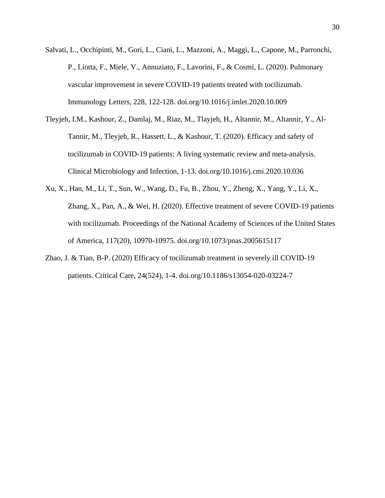- Salvati, L., Occhipinti, M., Gori, L., Ciani, L., Mazzoni, A., Maggi, L., Capone, M., Parronchi, P., Liotta, F., Miele, V., Annuziato, F., Lavorini, F., & Cosmi, L. (2020). Pulmonary vascular improvement in severe COVID-19 patients treated with tocilizumab. Immunology Letters, 228, 122-128. doi.org/10.1016/j.imlet.2020.10.009
- Tleyjeh, I.M., Kashour, Z., Damlaj, M., Riaz, M., Tlayjeh, H., Altannir, M., Altannir, Y., Al-Tannir, M., Tleyjeh, R., Hassett, L., & Kashour, T. (2020). Efficacy and safety of tocilizumab in COVID-19 patients: A living systematic review and meta-analysis. Clinical Microbiology and Infection, 1-13. doi.org/10.1016/j.cmi.2020.10.036
- Xu, X., Han, M., Li, T., Sun, W., Wang, D., Fu, B., Zhou, Y., Zheng, X., Yang, Y., Li, X., Zhang, X., Pan, A., & Wei, H. (2020). Effective treatment of severe COVID-19 patients with tocilizumab. Proceedings of the National Academy of Sciences of the United States of America, 117(20), 10970-10975. doi.org/10.1073/pnas.2005615117
- Zhao, J. & Tian, B-P. (2020) Efficacy of tocilizumab treatment in severely ill COVID-19 patients. Critical Care, 24(524), 1-4. doi.org/10.1186/s13054-020-03224-7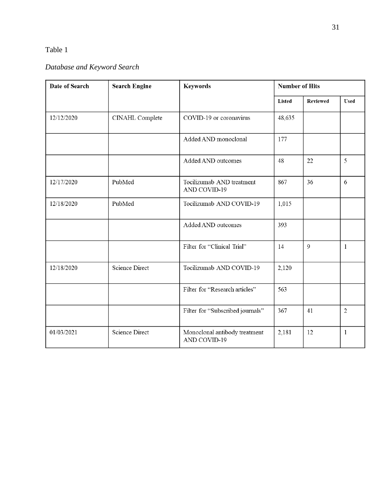# *Database and Keyword Search*

| Date of Search | <b>Search Engine</b>  | <b>Keywords</b>                               | <b>Number of Hits</b> |                |              |  |
|----------------|-----------------------|-----------------------------------------------|-----------------------|----------------|--------------|--|
|                |                       |                                               | <b>Listed</b>         | Reviewed       | <b>Used</b>  |  |
| 12/12/2020     | CINAHL Complete       | COVID-19 or coronavirus                       | 48,635                |                |              |  |
|                |                       | Added AND monoclonal                          | 177                   |                |              |  |
|                |                       | Added AND outcomes                            | 48                    | 22             | 5            |  |
| 12/17/2020     | PubMed                | Tocilizumab AND treatment<br>AND COVID-19     | 867                   | 36             | 6            |  |
| 12/18/2020     | PubMed                | Tocilizumab AND COVID-19                      | 1,015                 |                |              |  |
|                |                       | Added AND outcomes                            | 393                   |                |              |  |
|                |                       | Filter for "Clinical Trial"                   | 14                    | $\overline{Q}$ | 1            |  |
| 12/18/2020     | <b>Science Direct</b> | Tocilizumab AND COVID-19                      | 2,120                 |                |              |  |
|                |                       | Filter for "Research articles"                | 563                   |                |              |  |
|                |                       | Filter for "Subscribed journals"              | 367                   | 41             | $\mathbf{2}$ |  |
| 01/03/2021     | <b>Science Direct</b> | Monoclonal antibody treatment<br>AND COVID-19 | 2,181                 | 12             | 1            |  |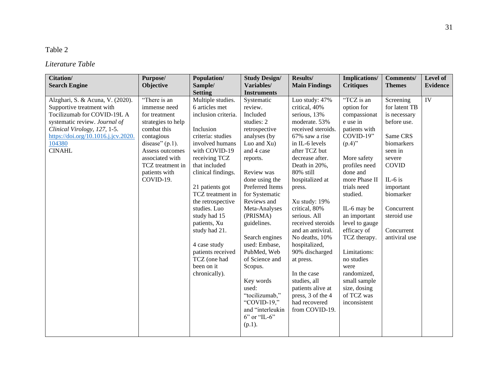# *Literature Table*

| <b>Citation/</b><br><b>Search Engine</b>                                                                                                                                                                                        | Purpose/<br>Objective                                                                                                                                                                                          | Population/<br>Sample/<br><b>Setting</b>                                                                                                                                                                                                                                                                                                                                                                  | <b>Study Design/</b><br>Variables/<br><b>Instruments</b>                                                                                                                                                                                                                                                                                                                                                                                              | Results/<br><b>Main Findings</b>                                                                                                                                                                                                                                                                                                                                                                                                                                                                    | Implications/<br><b>Critiques</b>                                                                                                                                                                                                                                                                                                                                                            | <b>Comments/</b><br><b>Themes</b>                                                                                                                                                                                            | Level of<br><b>Evidence</b> |
|---------------------------------------------------------------------------------------------------------------------------------------------------------------------------------------------------------------------------------|----------------------------------------------------------------------------------------------------------------------------------------------------------------------------------------------------------------|-----------------------------------------------------------------------------------------------------------------------------------------------------------------------------------------------------------------------------------------------------------------------------------------------------------------------------------------------------------------------------------------------------------|-------------------------------------------------------------------------------------------------------------------------------------------------------------------------------------------------------------------------------------------------------------------------------------------------------------------------------------------------------------------------------------------------------------------------------------------------------|-----------------------------------------------------------------------------------------------------------------------------------------------------------------------------------------------------------------------------------------------------------------------------------------------------------------------------------------------------------------------------------------------------------------------------------------------------------------------------------------------------|----------------------------------------------------------------------------------------------------------------------------------------------------------------------------------------------------------------------------------------------------------------------------------------------------------------------------------------------------------------------------------------------|------------------------------------------------------------------------------------------------------------------------------------------------------------------------------------------------------------------------------|-----------------------------|
| Alzghari, S. & Acuna, V. (2020).<br>Supportive treatment with<br>Tocilizumab for COVID-19L A<br>systematic review. Journal of<br>Clinical Virology, 127, 1-5.<br>https://doi.org/10.1016.j.jcv.2020.<br>104380<br><b>CINAHL</b> | "There is an<br>immense need<br>for treatment<br>strategies to help<br>combat this<br>contagious<br>disease" $(p.1)$ .<br>Assess outcomes<br>associated with<br>TCZ treatment in<br>patients with<br>COVID-19. | Multiple studies.<br>6 articles met<br>inclusion criteria.<br>Inclusion<br>criteria: studies<br>involved humans<br>with COVID-19<br>receiving TCZ<br>that included<br>clinical findings.<br>21 patients got<br>TCZ treatment in<br>the retrospective<br>studies. Luo<br>study had 15<br>patients, Xu<br>study had 21.<br>4 case study<br>patients received<br>TCZ (one had<br>been on it<br>chronically). | Systematic<br>review.<br>Included<br>studies: 2<br>retrospective<br>analyses (by<br>Luo and Xu)<br>and 4 case<br>reports.<br>Review was<br>done using the<br>Preferred Items<br>for Systematic<br>Reviews and<br>Meta-Analyses<br>(PRISMA)<br>guidelines.<br>Search engines<br>used: Embase,<br>PubMed, Web<br>of Science and<br>Scopus.<br>Key words<br>used:<br>"tocilizumab,"<br>"COVID-19,"<br>and "interleukin<br>$6"$ or "IL- $6"$<br>$(p.1)$ . | Luo study: 47%<br>critical, 40%<br>serious, 13%<br>moderate. 53%<br>received steroids.<br>67% saw a rise<br>in IL-6 levels<br>after TCZ but<br>decrease after.<br>Death in 20%,<br>80% still<br>hospitalized at<br>press.<br>Xu study: 19%<br>critical, 80%<br>serious. All<br>received steroids<br>and an antiviral.<br>No deaths, 10%<br>hospitalized,<br>90% discharged<br>at press.<br>In the case<br>studies, all<br>patients alive at<br>press, 3 of the 4<br>had recovered<br>from COVID-19. | "TCZ is an<br>option for<br>compassionat<br>e use in<br>patients with<br>$COVID-19"$<br>$(p.4)$ "<br>More safety<br>profiles need<br>done and<br>more Phase II<br>trials need<br>studied.<br>IL-6 may be<br>an important<br>level to gauge<br>efficacy of<br>TCZ therapy.<br>Limitations:<br>no studies<br>were<br>randomized,<br>small sample<br>size, dosing<br>of TCZ was<br>inconsistent | Screening<br>for latent TB<br>is necessary<br>before use.<br>Same CRS<br>biomarkers<br>seen in<br>severe<br><b>COVID</b><br>IL- $6$ is<br>important<br>biomarker<br>Concurrent<br>steroid use<br>Concurrent<br>antiviral use | IV                          |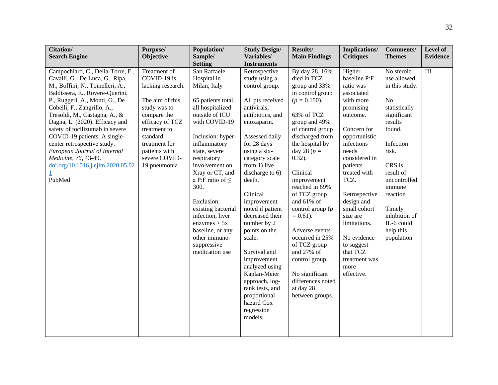| Citation/<br><b>Search Engine</b>                                                                                                                                                                                                                                                                                                                                                                                                                                                       | Purpose/<br>Objective                                                                                                                                                                                                | Population/<br>Sample/                                                                                                                                                                                                                                                                                                                                                                                                              | <b>Study Design/</b><br>Variables/<br><b>Instruments</b>                                                                                                                                                                                                                                                                                                                                                                                                                                                        | Results/<br><b>Main Findings</b>                                                                                                                                                                                                                                                                                                                                                                                                                                                           | <b>Implications/</b><br><b>Critiques</b>                                                                                                                                                                                                                                                                                                                       | <b>Comments/</b><br><b>Themes</b>                                                                                                                                                                                                                                         | Level of<br><b>Evidence</b> |
|-----------------------------------------------------------------------------------------------------------------------------------------------------------------------------------------------------------------------------------------------------------------------------------------------------------------------------------------------------------------------------------------------------------------------------------------------------------------------------------------|----------------------------------------------------------------------------------------------------------------------------------------------------------------------------------------------------------------------|-------------------------------------------------------------------------------------------------------------------------------------------------------------------------------------------------------------------------------------------------------------------------------------------------------------------------------------------------------------------------------------------------------------------------------------|-----------------------------------------------------------------------------------------------------------------------------------------------------------------------------------------------------------------------------------------------------------------------------------------------------------------------------------------------------------------------------------------------------------------------------------------------------------------------------------------------------------------|--------------------------------------------------------------------------------------------------------------------------------------------------------------------------------------------------------------------------------------------------------------------------------------------------------------------------------------------------------------------------------------------------------------------------------------------------------------------------------------------|----------------------------------------------------------------------------------------------------------------------------------------------------------------------------------------------------------------------------------------------------------------------------------------------------------------------------------------------------------------|---------------------------------------------------------------------------------------------------------------------------------------------------------------------------------------------------------------------------------------------------------------------------|-----------------------------|
| Campochiaro, C., Della-Torre, E.,<br>Cavalli, G., De Luca, G., Ripa,<br>M., Boffini, N., Tomelleri, A.,<br>Baldissera, E., Rovere-Querini,<br>P., Ruggeri, A., Monti, G., De<br>Cobelli, F., Zangrillo, A.,<br>Tresoldi, M., Castagna, A., &<br>Dagna, L. (2020). Efficacy and<br>safety of tocilizumab in severe<br>COVID-19 patients: A single-<br>center retrospective study.<br>European Journal of Internal<br>Medicine, 76, 43-49.<br>doi.org/10.1016.j.ejim.2020.05.02<br>PubMed | Treatment of<br>COVID-19 is<br>lacking research.<br>The aim of this<br>study was to<br>compare the<br>efficacy of TCZ<br>treatment to<br>standard<br>treatment for<br>patients with<br>severe COVID-<br>19 pneumonia | <b>Setting</b><br>San Raffaele<br>Hospital in<br>Milan, Italy<br>65 patients total,<br>all hospitalized<br>outside of ICU<br>with COVID-19<br>Inclusion: hyper-<br>inflammatory<br>state, severe<br>respiratory<br>involvement on<br>Xray or CT, and<br>a P:F ratio of $\leq$<br>300.<br>Exclusion:<br>existing bacterial<br>infection, liver<br>enzymes > 5x<br>baseline, or any<br>other immuno-<br>suppressive<br>medication use | Retrospective<br>study using a<br>control group.<br>All pts received<br>antivirals,<br>antibiotics, and<br>enoxaparin.<br>Assessed daily<br>for 28 days<br>using a six-<br>category scale<br>from 1) live<br>discharge to 6)<br>death.<br>Clinical<br>improvement<br>noted if patient<br>decreased their<br>number by 2<br>points on the<br>scale.<br>Survival and<br>improvement<br>analyzed using<br>Kaplan-Meier<br>approach, log-<br>rank tests, and<br>proportional<br>hazard Cox<br>regression<br>models. | By day 28, 16%<br>died in TCZ<br>group and 33%<br>in control group<br>$(p = 0.150)$ .<br>63% of TCZ<br>group and 49%<br>of control group<br>discharged from<br>the hospital by<br>day 28 ( $p =$<br>$0.32$ ).<br>Clinical<br>improvement<br>reached in 69%<br>of TCZ group<br>and 61% of<br>control group $(p)$<br>$= 0.61$ ).<br>Adverse events<br>occurred in 25%<br>of TCZ group<br>and 27% of<br>control group.<br>No significant<br>differences noted<br>at day 28<br>between groups. | Higher<br>baseline P:F<br>ratio was<br>associated<br>with more<br>promising<br>outcome.<br>Concern for<br>opportunistic<br>infections<br>needs<br>considered in<br>patients<br>treated with<br>TCZ.<br>Retrospective<br>design and<br>small cohort<br>size are<br>limitations.<br>No evidence<br>to suggest<br>that TCZ<br>treatment was<br>more<br>effective. | No steroid<br>use allowed<br>in this study.<br>N <sub>o</sub><br>statistically<br>significant<br>results<br>found.<br>Infection<br>risk.<br>CRS is<br>result of<br>uncontrolled<br>immune<br>reaction<br>Timely<br>inhibition of<br>IL-6 could<br>help this<br>population | III                         |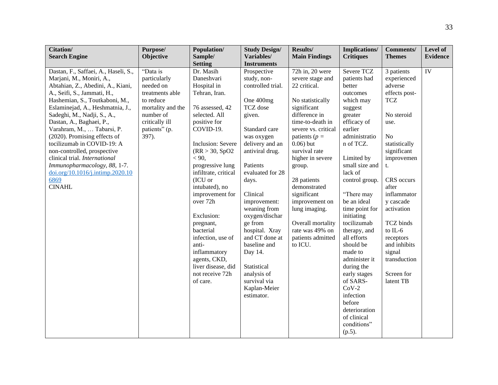| Citation/                            | Purpose/          | Population/          | <b>Study Design/</b> | Results/             | <b>Implications/</b> | <b>Comments/</b> | Level of        |
|--------------------------------------|-------------------|----------------------|----------------------|----------------------|----------------------|------------------|-----------------|
| <b>Search Engine</b>                 | Objective         | Sample/              | Variables/           | <b>Main Findings</b> | <b>Critiques</b>     | <b>Themes</b>    | <b>Evidence</b> |
|                                      |                   | <b>Setting</b>       | <b>Instruments</b>   |                      |                      |                  |                 |
| Dastan, F., Saffaei, A., Haseli, S., | "Data is          | Dr. Masih            | Prospective          | 72h in, 20 were      | Severe TCZ           | 3 patients       | IV              |
| Marjani, M., Moniri, A.,             | particularly      | Daneshvari           | study, non-          | severe stage and     | patients had         | experienced      |                 |
| Abtahian, Z., Abedini, A., Kiani,    | needed on         | Hospital in          | controlled trial.    | 22 critical.         | better               | adverse          |                 |
| A., Seifi, S., Jammati, H.,          | treatments able   | Tehran, Iran.        |                      |                      | outcomes             | effects post-    |                 |
| Hashemian, S., Toutkaboni, M.,       | to reduce         |                      | One 400mg            | No statistically     | which may            | <b>TCZ</b>       |                 |
| Eslaminejad, A., Heshmatnia, J.,     | mortality and the | 76 assessed, 42      | TCZ dose             | significant          | suggest              |                  |                 |
| Sadeghi, M., Nadji, S., A.,          | number of         | selected. All        | given.               | difference in        | greater              | No steroid       |                 |
| Dastan, A., Baghaei, P.,             | critically ill    | positive for         |                      | time-to-death in     | efficacy of          | use.             |                 |
| Varahram, M.,  Tabarsi, P.           | patients" (p.     | COVID-19.            | Standard care        | severe vs. critical  | earlier              |                  |                 |
| (2020). Promising effects of         | 397).             |                      | was oxygen           | patients ( $p =$     | administratio        | No               |                 |
| tocilizumab in COVID-19: A           |                   | Inclusion: Severe    | delivery and an      | $0.06$ ) but         | n of TCZ.            | statistically    |                 |
| non-controlled, prospective          |                   | (RR > 30, SpO2)      | antiviral drug.      | survival rate        |                      | significant      |                 |
| clinical trial. International        |                   | < 90,                |                      | higher in severe     | Limited by           | improvemen       |                 |
| Immunopharmacology, 88, 1-7.         |                   | progressive lung     | Patients             | group.               | small size and       | t.               |                 |
| doi.org/10.1016/j.intimp.2020.10     |                   | infiltrate, critical | evaluated for 28     |                      | lack of              |                  |                 |
| 6869                                 |                   | (ICU or              | days.                | 28 patients          | control group.       | CRS occurs       |                 |
| <b>CINAHL</b>                        |                   | intubated), no       |                      | demonstrated         |                      | after            |                 |
|                                      |                   | improvement for      | Clinical             | significant          | "There may           | inflammator      |                 |
|                                      |                   | over 72h             | improvement:         | improvement on       | be an ideal          | y cascade        |                 |
|                                      |                   |                      | weaning from         | lung imaging.        | time point for       | activation       |                 |
|                                      |                   | Exclusion:           | oxygen/dischar       |                      | initiating           |                  |                 |
|                                      |                   | pregnant,            | ge from              | Overall mortality    | tocilizumab          | <b>TCZ</b> binds |                 |
|                                      |                   | bacterial            | hospital. Xray       | rate was 49% on      | therapy, and         | to IL- $6$       |                 |
|                                      |                   | infection, use of    | and CT done at       | patients admitted    | all efforts          | receptors        |                 |
|                                      |                   | anti-                | baseline and         | to ICU.              | should be            | and inhibits     |                 |
|                                      |                   | inflammatory         | Day 14.              |                      | made to              | signal           |                 |
|                                      |                   | agents, CKD,         |                      |                      | administer it        | transduction     |                 |
|                                      |                   | liver disease, did   | Statistical          |                      | during the           |                  |                 |
|                                      |                   | not receive 72h      | analysis of          |                      | early stages         | Screen for       |                 |
|                                      |                   | of care.             | survival via         |                      | of SARS-             | latent TB        |                 |
|                                      |                   |                      | Kaplan-Meier         |                      | $CoV-2$              |                  |                 |
|                                      |                   |                      | estimator.           |                      | infection            |                  |                 |
|                                      |                   |                      |                      |                      | before               |                  |                 |
|                                      |                   |                      |                      |                      | deterioration        |                  |                 |
|                                      |                   |                      |                      |                      | of clinical          |                  |                 |
|                                      |                   |                      |                      |                      | conditions"          |                  |                 |
|                                      |                   |                      |                      |                      | $(p.5)$ .            |                  |                 |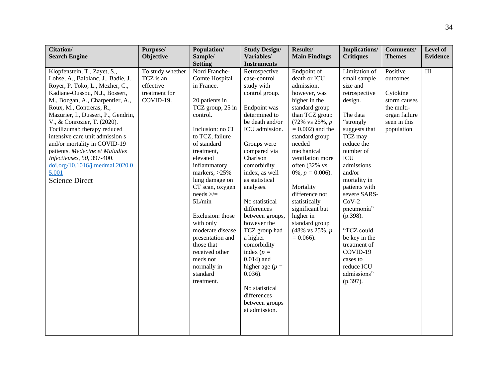| Citation/                           | Purpose/         | Population/                   | <b>Study Design/</b>         | Results/                                       | <b>Implications/</b> | <b>Comments/</b> | Level of        |
|-------------------------------------|------------------|-------------------------------|------------------------------|------------------------------------------------|----------------------|------------------|-----------------|
| <b>Search Engine</b>                | <b>Objective</b> | Sample/                       | Variables/                   | <b>Main Findings</b>                           | <b>Critiques</b>     | <b>Themes</b>    | <b>Evidence</b> |
|                                     |                  | <b>Setting</b>                | <b>Instruments</b>           |                                                |                      |                  |                 |
| Klopfenstein, T., Zayet, S.,        | To study whether | Nord Franche-                 | Retrospective                | Endpoint of                                    | Limitation of        | Positive         | $\rm III$       |
| Lohse, A., Balblanc, J., Badie, J., | TCZ is an        | Comte Hospital                | case-control                 | death or ICU                                   | small sample         | outcomes         |                 |
| Royer, P. Toko, L., Mezher, C.,     | effective        | in France.                    | study with                   | admission,                                     | size and             |                  |                 |
| Kadiane-Oussou, N.J., Bossert,      | treatment for    |                               | control group.               | however, was                                   | retrospective        | Cytokine         |                 |
| M., Bozgan, A., Charpentier, A.,    | COVID-19.        | 20 patients in                |                              | higher in the                                  | design.              | storm causes     |                 |
| Roux, M., Contreras, R.,            |                  | TCZ group, 25 in              | Endpoint was                 | standard group                                 |                      | the multi-       |                 |
| Mazurier, I., Dussert, P., Gendrin, |                  | control.                      | determined to                | than TCZ group                                 | The data             | organ failure    |                 |
| V., & Conrozier, T. (2020).         |                  |                               | be death and/or              | $(72\% \text{ vs } 25\%, p$                    | "strongly            | seen in this     |                 |
| Tocilizumab therapy reduced         |                  | Inclusion: no CI              | ICU admission.               | $= 0.002$ ) and the                            | suggests that        | population       |                 |
| intensive care unit admission s     |                  | to TCZ, failure               |                              | standard group                                 | TCZ may              |                  |                 |
| and/or mortality in COVID-19        |                  | of standard                   | Groups were                  | needed                                         | reduce the           |                  |                 |
| patients. Medecine et Maladies      |                  | treatment,                    | compared via                 | mechanical                                     | number of            |                  |                 |
| Infectieuses, 50, 397-400.          |                  | elevated                      | Charlson                     | ventilation more                               | <b>ICU</b>           |                  |                 |
| doi.org/10.1016/j.medmal.2020.0     |                  | inflammatory                  | comorbidity                  | often (32% vs                                  | admissions           |                  |                 |
| 5.001                               |                  | markers, $>25\%$              | index, as well               | $0\%, p = 0.006$ .                             | and/or               |                  |                 |
| <b>Science Direct</b>               |                  | lung damage on                | as statistical               |                                                | mortality in         |                  |                 |
|                                     |                  | CT scan, oxygen               | analyses.                    | Mortality                                      | patients with        |                  |                 |
|                                     |                  | $needs \geq/\equiv$           |                              | difference not                                 | severe SARS-         |                  |                 |
|                                     |                  | 5L/min                        | No statistical               | statistically                                  | $CoV-2$              |                  |                 |
|                                     |                  |                               | differences                  | significant but                                | pneumonia"           |                  |                 |
|                                     |                  | Exclusion: those              | between groups,              | higher in                                      | (p.398).             |                  |                 |
|                                     |                  | with only<br>moderate disease | however the<br>TCZ group had | standard group<br>$(48\% \text{ vs } 25\%, p)$ | "TCZ could           |                  |                 |
|                                     |                  | presentation and              |                              | $= 0.066$ ).                                   | be key in the        |                  |                 |
|                                     |                  | those that                    | a higher<br>comorbidity      |                                                | treatment of         |                  |                 |
|                                     |                  | received other                | index $(p =$                 |                                                | COVID-19             |                  |                 |
|                                     |                  | meds not                      | $0.014$ ) and                |                                                | cases to             |                  |                 |
|                                     |                  | normally in                   | higher age ( $p =$           |                                                | reduce ICU           |                  |                 |
|                                     |                  | standard                      | $0.036$ ).                   |                                                | admissions"          |                  |                 |
|                                     |                  | treatment.                    |                              |                                                | $(p.397)$ .          |                  |                 |
|                                     |                  |                               | No statistical               |                                                |                      |                  |                 |
|                                     |                  |                               | differences                  |                                                |                      |                  |                 |
|                                     |                  |                               | between groups               |                                                |                      |                  |                 |
|                                     |                  |                               | at admission.                |                                                |                      |                  |                 |
|                                     |                  |                               |                              |                                                |                      |                  |                 |
|                                     |                  |                               |                              |                                                |                      |                  |                 |
|                                     |                  |                               |                              |                                                |                      |                  |                 |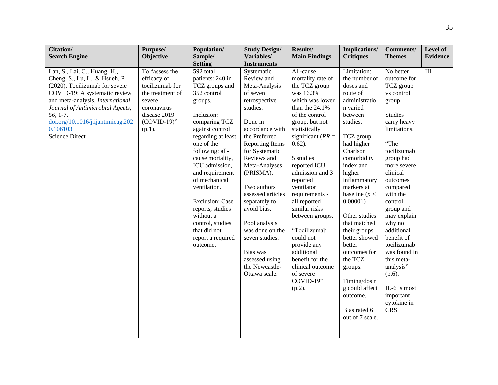| <b>Citation/</b><br><b>Search Engine</b>                                                                                                                                                                                                                                                        | Purpose/<br>Objective                                                                                                                        | Population/<br>Sample/<br><b>Setting</b>                                                                                                                                                                                                                                                                                                                                                                     | <b>Study Design/</b><br>Variables/<br><b>Instruments</b>                                                                                                                                                                                                                                                                                                                                                       | Results/<br><b>Main Findings</b>                                                                                                                                                                                                                                                                                                                                                                                                                                                    | <b>Implications/</b><br><b>Critiques</b>                                                                                                                                                                                                                                                                                                                                                                                                                | <b>Comments/</b><br><b>Themes</b>                                                                                                                                                                                                                                                                                                                                                                                              | Level of<br><b>Evidence</b> |
|-------------------------------------------------------------------------------------------------------------------------------------------------------------------------------------------------------------------------------------------------------------------------------------------------|----------------------------------------------------------------------------------------------------------------------------------------------|--------------------------------------------------------------------------------------------------------------------------------------------------------------------------------------------------------------------------------------------------------------------------------------------------------------------------------------------------------------------------------------------------------------|----------------------------------------------------------------------------------------------------------------------------------------------------------------------------------------------------------------------------------------------------------------------------------------------------------------------------------------------------------------------------------------------------------------|-------------------------------------------------------------------------------------------------------------------------------------------------------------------------------------------------------------------------------------------------------------------------------------------------------------------------------------------------------------------------------------------------------------------------------------------------------------------------------------|---------------------------------------------------------------------------------------------------------------------------------------------------------------------------------------------------------------------------------------------------------------------------------------------------------------------------------------------------------------------------------------------------------------------------------------------------------|--------------------------------------------------------------------------------------------------------------------------------------------------------------------------------------------------------------------------------------------------------------------------------------------------------------------------------------------------------------------------------------------------------------------------------|-----------------------------|
| Lan, S., Lai, C., Huang, H.,<br>Cheng, S., Lu, L., & Hsueh, P.<br>(2020). Tocilizumab for severe<br>COVID-19: A systematic review<br>and meta-analysis. International<br>Journal of Antimicrobial Agents,<br>56, 1-7.<br>doi.org/10.1016/j.ijantimicag.202<br>0.106103<br><b>Science Direct</b> | To "assess the<br>efficacy of<br>tocilizumab for<br>the treatment of<br>severe<br>coronavirus<br>disease 2019<br>$(COVID-19)$ "<br>$(p.1)$ . | 592 total<br>patients: 240 in<br>TCZ groups and<br>352 control<br>groups.<br>Inclusion:<br>comparing TCZ<br>against control<br>regarding at least<br>one of the<br>following: all-<br>cause mortality,<br>ICU admission,<br>and requirement<br>of mechanical<br>ventilation.<br><b>Exclusion: Case</b><br>reports, studies<br>without a<br>control, studies<br>that did not<br>report a required<br>outcome. | Systematic<br>Review and<br>Meta-Analysis<br>of seven<br>retrospective<br>studies.<br>Done in<br>accordance with<br>the Preferred<br>Reporting Items<br>for Systematic<br>Reviews and<br>Meta-Analyses<br>(PRISMA).<br>Two authors<br>assessed articles<br>separately to<br>avoid bias.<br>Pool analysis<br>was done on the<br>seven studies.<br>Bias was<br>assessed using<br>the Newcastle-<br>Ottawa scale. | All-cause<br>mortality rate of<br>the TCZ group<br>was 16.3%<br>which was lower<br>than the 24.1%<br>of the control<br>group, but not<br>statistically<br>significant ( $RR =$<br>$0.62$ ).<br>5 studies<br>reported ICU<br>admission and 3<br>reported<br>ventilator<br>requirements -<br>all reported<br>similar risks<br>between groups.<br>"Tocilizumab<br>could not<br>provide any<br>additional<br>benefit for the<br>clinical outcome<br>of severe<br>COVID-19"<br>$(p.2)$ . | Limitation:<br>the number of<br>doses and<br>route of<br>administratio<br>n varied<br>between<br>studies.<br>TCZ group<br>had higher<br>Charlson<br>comorbidity<br>index and<br>higher<br>inflammatory<br>markers at<br>baseline ( $p <$<br>0.00001)<br>Other studies<br>that matched<br>their groups<br>better showed<br>better<br>outcomes for<br>the TCZ<br>groups.<br>Timing/dosin<br>g could affect<br>outcome.<br>Bias rated 6<br>out of 7 scale. | No better<br>outcome for<br>TCZ group<br>vs control<br>group<br><b>Studies</b><br>carry heavy<br>limitations.<br>"The<br>tocilizumab<br>group had<br>more severe<br>clinical<br>outcomes<br>compared<br>with the<br>control<br>group and<br>may explain<br>why no<br>additional<br>benefit of<br>tocilizumab<br>was found in<br>this meta-<br>analysis"<br>$(p.6)$ .<br>IL-6 is most<br>important<br>cytokine in<br><b>CRS</b> | $\rm III$                   |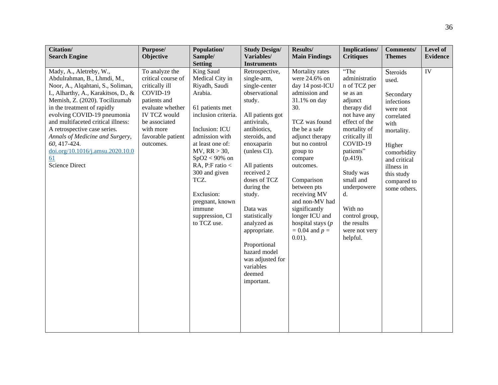| Citation/<br><b>Search Engine</b>                                                                                                                                                                                                                                                                                                                                                                                       | Purpose/<br>Objective                                                                                                                                                                         | Population/<br>Sample/                                                                                                                                                                                                                                                                                                    | <b>Study Design/</b><br>Variables/                                                                                                                                                                                                                                                                                                                                                                     | Results/<br><b>Main Findings</b>                                                                                                                                                                                                                                                                                                                                    | Implications/<br><b>Critiques</b>                                                                                                                                                                                                                                                                           | Comments/<br><b>Themes</b>                                                                                                                                                                       | Level of<br><b>Evidence</b> |
|-------------------------------------------------------------------------------------------------------------------------------------------------------------------------------------------------------------------------------------------------------------------------------------------------------------------------------------------------------------------------------------------------------------------------|-----------------------------------------------------------------------------------------------------------------------------------------------------------------------------------------------|---------------------------------------------------------------------------------------------------------------------------------------------------------------------------------------------------------------------------------------------------------------------------------------------------------------------------|--------------------------------------------------------------------------------------------------------------------------------------------------------------------------------------------------------------------------------------------------------------------------------------------------------------------------------------------------------------------------------------------------------|---------------------------------------------------------------------------------------------------------------------------------------------------------------------------------------------------------------------------------------------------------------------------------------------------------------------------------------------------------------------|-------------------------------------------------------------------------------------------------------------------------------------------------------------------------------------------------------------------------------------------------------------------------------------------------------------|--------------------------------------------------------------------------------------------------------------------------------------------------------------------------------------------------|-----------------------------|
|                                                                                                                                                                                                                                                                                                                                                                                                                         |                                                                                                                                                                                               | <b>Setting</b>                                                                                                                                                                                                                                                                                                            | <b>Instruments</b>                                                                                                                                                                                                                                                                                                                                                                                     |                                                                                                                                                                                                                                                                                                                                                                     |                                                                                                                                                                                                                                                                                                             |                                                                                                                                                                                                  |                             |
| Mady, A., Aletreby, W.,<br>Abdulrahman, B., Lhmdi, M.,<br>Noor, A., Alqahtani, S., Soliman,<br>I., Alharthy, A., Karakitsos, D., &<br>Memish, Z. (2020). Tocilizumab<br>in the treatment of rapidly<br>evolving COVID-19 pneumonia<br>and multifaceted critical illness:<br>A retrospective case series.<br>Annals of Medicine and Surgery,<br>60, 417-424.<br>doi.org/10.1016/j.amsu.2020.10.0<br>61<br>Science Direct | To analyze the<br>critical course of<br>critically ill<br>COVID-19<br>patients and<br>evaluate whether<br><b>IV TCZ would</b><br>be associated<br>with more<br>favorable patient<br>outcomes. | King Saud<br>Medical City in<br>Riyadh, Saudi<br>Arabia.<br>61 patients met<br>inclusion criteria.<br>Inclusion: ICU<br>admission with<br>at least one of:<br>MV, RR > 30,<br>$SpO2 < 90\%$ on<br>RA, P:F ratio $<$<br>300 and given<br>TCZ.<br>Exclusion:<br>pregnant, known<br>immune<br>suppression, CI<br>to TCZ use. | Retrospective,<br>single-arm,<br>single-center<br>observational<br>study.<br>All patients got<br>antivirals,<br>antibiotics,<br>steroids, and<br>enoxaparin<br>(unless CI).<br>All patients<br>received 2<br>doses of TCZ<br>during the<br>study.<br>Data was<br>statistically<br>analyzed as<br>appropriate.<br>Proportional<br>hazard model<br>was adjusted for<br>variables<br>deemed<br>important. | Mortality rates<br>were 24.6% on<br>day 14 post-ICU<br>admission and<br>31.1% on day<br>30.<br>TCZ was found<br>the be a safe<br>adjunct therapy<br>but no control<br>group to<br>compare<br>outcomes.<br>Comparison<br>between pts<br>receiving MV<br>and non-MV had<br>significantly<br>longer ICU and<br>hospital stays $(p)$<br>$= 0.04$ and $p =$<br>$0.01$ ). | "The<br>administratio<br>n of TCZ per<br>se as an<br>adjunct<br>therapy did<br>not have any<br>effect of the<br>mortality of<br>critically ill<br>COVID-19<br>patients"<br>(p.419).<br>Study was<br>small and<br>underpowere<br>d.<br>With no<br>control group,<br>the results<br>were not very<br>helpful. | Steroids<br>used.<br>Secondary<br>infections<br>were not<br>correlated<br>with<br>mortality.<br>Higher<br>comorbidity<br>and critical<br>illness in<br>this study<br>compared to<br>some others. | IV                          |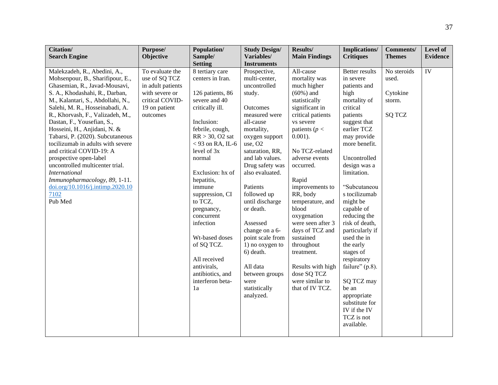| Citation/                         | Purpose/          | Population/        | <b>Study Design/</b> | Results/             | <b>Implications/</b>     | <b>Comments/</b> | Level of        |
|-----------------------------------|-------------------|--------------------|----------------------|----------------------|--------------------------|------------------|-----------------|
| <b>Search Engine</b>              | Objective         | Sample/            | Variables/           | <b>Main Findings</b> | <b>Critiques</b>         | <b>Themes</b>    | <b>Evidence</b> |
|                                   |                   | <b>Setting</b>     | <b>Instruments</b>   |                      |                          |                  |                 |
| Malekzadeh, R., Abedini, A.,      | To evaluate the   | 8 tertiary care    | Prospective,         | All-cause            | Better results           | No steroids      | $\overline{IV}$ |
| Mohsenpour, B., Sharifipour, E.,  | use of SQ TCZ     | centers in Iran.   | multi-center,        | mortality was        | in severe                | used.            |                 |
| Ghasemian, R., Javad-Mousavi,     | in adult patients |                    | uncontrolled         | much higher          | patients and             |                  |                 |
| S. A., Khodashahi, R., Darban,    | with severe or    | 126 patients, 86   | study.               | $(60\%)$ and         | high                     | Cytokine         |                 |
| M., Kalantari, S., Abdollahi, N., | critical COVID-   | severe and 40      |                      | statistically        | mortality of             | storm.           |                 |
| Salehi, M. R., Hosseinabadi, A.   | 19 on patient     | critically ill.    | Outcomes             | significant in       | critical                 |                  |                 |
| R., Khorvash, F., Valizadeh, M.,  | outcomes          |                    | measured were        | critical patients    | patients                 | <b>SQ TCZ</b>    |                 |
| Dastan, F., Yousefian, S.,        |                   | Inclusion:         | all-cause            | vs severe            | suggest that             |                  |                 |
| Hosseini, H., Anjidani, N. &      |                   | febrile, cough,    | mortality,           | patients ( $p <$     | earlier TCZ              |                  |                 |
| Tabarsi, P. (2020). Subcutaneous  |                   | $RR > 30$ , O2 sat | oxygen support       | $0.001$ ).           | may provide              |                  |                 |
| tocilizumab in adults with severe |                   | $<$ 93 on RA, IL-6 | use, O <sub>2</sub>  |                      | more benefit.            |                  |                 |
| and critical COVID-19: A          |                   | level of 3x        | saturation, RR,      | No TCZ-related       |                          |                  |                 |
| prospective open-label            |                   | normal             | and lab values.      | adverse events       | Uncontrolled             |                  |                 |
| uncontrolled multicenter trial.   |                   |                    | Drug safety was      | occurred.            | design was a             |                  |                 |
| <b>International</b>              |                   | Exclusion: hx of   | also evaluated.      |                      | limitation.              |                  |                 |
| Immunopharmacology, 89, 1-11.     |                   | hepatitis,         |                      | Rapid                |                          |                  |                 |
| doi.org/10.1016/j.intimp.2020.10  |                   | immune             | Patients             | improvements to      | "Subcutaneou             |                  |                 |
| 7102                              |                   | suppression, CI    | followed up          | RR, body             | s tocilizumab            |                  |                 |
| Pub Med                           |                   | to TCZ,            | until discharge      | temperature, and     | might be                 |                  |                 |
|                                   |                   | pregnancy,         | or death.            | blood                | capable of               |                  |                 |
|                                   |                   | concurrent         |                      | oxygenation          | reducing the             |                  |                 |
|                                   |                   | infection          | Assessed             | were seen after 3    | risk of death,           |                  |                 |
|                                   |                   |                    | change on a 6-       | days of TCZ and      | particularly if          |                  |                 |
|                                   |                   | Wt-based doses     | point scale from     | sustained            | used the in              |                  |                 |
|                                   |                   | of SQ TCZ.         | 1) no oxygen to      | throughout           | the early                |                  |                 |
|                                   |                   | All received       | 6) death.            | treatment.           | stages of<br>respiratory |                  |                 |
|                                   |                   | antivirals,        | All data             | Results with high    | failure" (p.8).          |                  |                 |
|                                   |                   | antibiotics, and   | between groups       | dose SQ TCZ          |                          |                  |                 |
|                                   |                   | interferon beta-   | were                 | were similar to      | SQ TCZ may               |                  |                 |
|                                   |                   | 1a                 | statistically        | that of IV TCZ.      | be an                    |                  |                 |
|                                   |                   |                    | analyzed.            |                      | appropriate              |                  |                 |
|                                   |                   |                    |                      |                      | substitute for           |                  |                 |
|                                   |                   |                    |                      |                      | IV if the IV             |                  |                 |
|                                   |                   |                    |                      |                      | TCZ is not               |                  |                 |
|                                   |                   |                    |                      |                      | available.               |                  |                 |
|                                   |                   |                    |                      |                      |                          |                  |                 |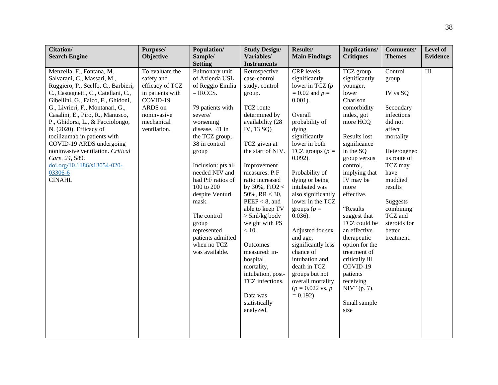| Citation/                           | Purpose/         | Population/        | <b>Study Design/</b> | Results/                     | Implications/    | <b>Comments/</b> | Level of        |
|-------------------------------------|------------------|--------------------|----------------------|------------------------------|------------------|------------------|-----------------|
| <b>Search Engine</b>                | Objective        | Sample/            | Variables/           | <b>Main Findings</b>         | <b>Critiques</b> | <b>Themes</b>    | <b>Evidence</b> |
|                                     |                  | <b>Setting</b>     | <b>Instruments</b>   |                              |                  |                  |                 |
| Menzella, F., Fontana, M.,          | To evaluate the  | Pulmonary unit     | Retrospective        | CRP levels                   | TCZ group        | Control          | III             |
| Salvarani, C., Massari, M.,         | safety and       | of Azienda USL     | case-control         | significantly                | significantly    | group            |                 |
| Ruggiero, P., Scelfo, C., Barbieri, | efficacy of TCZ  | of Reggio Emilia   | study, control       | lower in TCZ $(p)$           | younger,         |                  |                 |
| C., Castagnetti, C., Catellani, C., | in patients with | $-$ IRCCS.         | group.               | $= 0.02$ and $p =$           | lower            | IV vs SQ         |                 |
| Gibellini, G., Falco, F., Ghidoni,  | COVID-19         |                    |                      | $0.001$ ).                   | Charlson         |                  |                 |
| G., Livrieri, F., Montanari, G.,    | ARDS on          | 79 patients with   | TCZ route            |                              | comorbidity      | Secondary        |                 |
| Casalini, E., Piro, R., Manusco,    | noninvasive      | severe/            | determined by        | Overall                      | index, got       | infections       |                 |
| P., Ghidorsi, L., & Facciolongo,    | mechanical       | worsening          | availability (28     | probability of               | more HCQ         | did not          |                 |
| N. (2020). Efficacy of              | ventilation.     | disease. 41 in     | IV, 13 SQ)           | dying                        |                  | affect           |                 |
| tocilizumab in patients with        |                  | the TCZ group,     |                      | significantly                | Results lost     | mortality        |                 |
| COVID-19 ARDS undergoing            |                  | 38 in control      | TCZ given at         | lower in both                | significance     |                  |                 |
| noninvasive ventilation. Critical   |                  | group              | the start of NIV.    | TCZ groups ( $p =$           | in the SQ        | Heterogeneo      |                 |
| Care, 24, 589.                      |                  |                    |                      | $0.092$ ).                   | group versus     | us route of      |                 |
| doi.org/10.1186/s13054-020-         |                  | Inclusion: pts all | Improvement          |                              | control,         | TCZ may          |                 |
| 03306-6                             |                  | needed NIV and     | measures: P:F        | Probability of               | implying that    | have             |                 |
| <b>CINAHL</b>                       |                  | had P:F ratios of  | ratio increased      | dying or being               | IV may be        | muddied          |                 |
|                                     |                  | 100 to 200         | by $30\%$ , FiO2 <   | intubated was                | more             | results          |                 |
|                                     |                  | despite Venturi    | 50%, RR < 30,        | also significantly           | effective.       |                  |                 |
|                                     |                  | mask.              | $PEEP < 8$ , and     | lower in the TCZ             |                  | Suggests         |                 |
|                                     |                  |                    | able to keep TV      | groups ( $p =$               | "Results         | combining        |                 |
|                                     |                  | The control        | $>$ 5ml/kg body      | $0.036$ ).                   | suggest that     | TCZ and          |                 |
|                                     |                  | group              | weight with PS       |                              | TCZ could be     | steroids for     |                 |
|                                     |                  | represented        | $<10.$               | Adjusted for sex             | an effective     | better           |                 |
|                                     |                  | patients admitted  |                      | and age,                     | therapeutic      | treatment.       |                 |
|                                     |                  | when no TCZ        | <b>Outcomes</b>      | significantly less           | option for the   |                  |                 |
|                                     |                  | was available.     | measured: in-        | chance of                    | treatment of     |                  |                 |
|                                     |                  |                    | hospital             | intubation and               | critically ill   |                  |                 |
|                                     |                  |                    | mortality,           | death in TCZ                 | COVID-19         |                  |                 |
|                                     |                  |                    | intubation, post-    | groups but not               | patients         |                  |                 |
|                                     |                  |                    | TCZ infections.      | overall mortality            | receiving        |                  |                 |
|                                     |                  |                    | Data was             | $(p = 0.022 \text{ vs. } p)$ | NIV" (p. 7).     |                  |                 |
|                                     |                  |                    | statistically        | $= 0.192$                    |                  |                  |                 |
|                                     |                  |                    | analyzed.            |                              | Small sample     |                  |                 |
|                                     |                  |                    |                      |                              | size             |                  |                 |
|                                     |                  |                    |                      |                              |                  |                  |                 |
|                                     |                  |                    |                      |                              |                  |                  |                 |
|                                     |                  |                    |                      |                              |                  |                  |                 |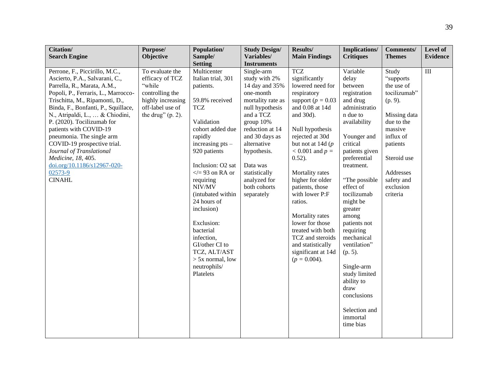| Citation/                                  | Purpose/             | Population/           | <b>Study Design/</b>      | Results/               | <b>Implications/</b> | <b>Comments/</b> | Level of        |
|--------------------------------------------|----------------------|-----------------------|---------------------------|------------------------|----------------------|------------------|-----------------|
| <b>Search Engine</b>                       | Objective            | Sample/               | Variables/                | <b>Main Findings</b>   | <b>Critiques</b>     | <b>Themes</b>    | <b>Evidence</b> |
|                                            |                      | <b>Setting</b>        | <b>Instruments</b>        |                        |                      |                  |                 |
| Perrone, F., Piccirillo, M.C.,             | To evaluate the      | Multicenter           | Single-arm                | <b>TCZ</b>             | Variable             | Study            | III             |
| Ascierto, P.A., Salvarani, C.,             | efficacy of TCZ      | Italian trial, 301    | study with 2%             | significantly          | delay                | "supports        |                 |
| Parrella, R., Marata, A.M.,                | "while               | patients.             | 14 day and 35%            | lowered need for       | between              | the use of       |                 |
| Popoli, P., Ferraris, L., Marrocco-        | controlling the      |                       | one-month                 | respiratory            | registration         | tocilizumab"     |                 |
| Trischitta, M., Ripamonti, D.,             | highly increasing    | 59.8% received        | mortality rate as         | support ( $p = 0.03$ ) | and drug             | (p. 9).          |                 |
| Binda, F., Bonfanti, P., Squillace,        | off-label use of     | <b>TCZ</b>            | null hypothesis           | and 0.08 at 14d        | administratio        |                  |                 |
| N., Atripaldi, L.,  & Chiodini,            | the drug" $(p. 2)$ . |                       | and a TCZ                 | and 30d).              | n due to             | Missing data     |                 |
| P. (2020). Tocilizumab for                 |                      | Validation            | group 10%                 |                        | availability         | due to the       |                 |
| patients with COVID-19                     |                      | cohort added due      | reduction at 14           | Null hypothesis        |                      | massive          |                 |
| pneumonia. The single arm                  |                      | rapidly               | and 30 days as            | rejected at 30d        | Younger and          | influx of        |                 |
| COVID-19 prospective trial.                |                      | increasing $pts -$    | alternative               | but not at 14d $(p)$   | critical             | patients         |                 |
| Journal of Translational                   |                      | 920 patients          | hypothesis.               | $< 0.001$ and $p =$    | patients given       |                  |                 |
| Medicine, 18, 405.                         |                      | Inclusion: O2 sat     |                           | $0.52$ ).              | preferential         | Steroid use      |                 |
| doi.org/10.1186/s12967-020-<br>$02573 - 9$ |                      | $\langle 93$ on RA or | Data was<br>statistically | Mortality rates        | treatment.           | Addresses        |                 |
| <b>CINAHL</b>                              |                      | requiring             | analyzed for              | higher for older       | "The possible        | safety and       |                 |
|                                            |                      | NIV/MV                | both cohorts              | patients, those        | effect of            | exclusion        |                 |
|                                            |                      | (intubated within     | separately                | with lower P:F         | tocilizumab          | criteria         |                 |
|                                            |                      | 24 hours of           |                           | ratios.                | might be             |                  |                 |
|                                            |                      | inclusion)            |                           |                        | greater              |                  |                 |
|                                            |                      |                       |                           | Mortality rates        | among                |                  |                 |
|                                            |                      | Exclusion:            |                           | lower for those        | patients not         |                  |                 |
|                                            |                      | bacterial             |                           | treated with both      | requiring            |                  |                 |
|                                            |                      | infection,            |                           | TCZ and steroids       | mechanical           |                  |                 |
|                                            |                      | GI/other CI to        |                           | and statistically      | ventilation"         |                  |                 |
|                                            |                      | TCZ, ALT/AST          |                           | significant at 14d     | $(p. 5)$ .           |                  |                 |
|                                            |                      | $> 5x$ normal, low    |                           | $(p = 0.004)$ .        |                      |                  |                 |
|                                            |                      | neutrophils/          |                           |                        | Single-arm           |                  |                 |
|                                            |                      | Platelets             |                           |                        | study limited        |                  |                 |
|                                            |                      |                       |                           |                        | ability to           |                  |                 |
|                                            |                      |                       |                           |                        | draw                 |                  |                 |
|                                            |                      |                       |                           |                        | conclusions          |                  |                 |
|                                            |                      |                       |                           |                        |                      |                  |                 |
|                                            |                      |                       |                           |                        | Selection and        |                  |                 |
|                                            |                      |                       |                           |                        | immortal             |                  |                 |
|                                            |                      |                       |                           |                        | time bias            |                  |                 |
|                                            |                      |                       |                           |                        |                      |                  |                 |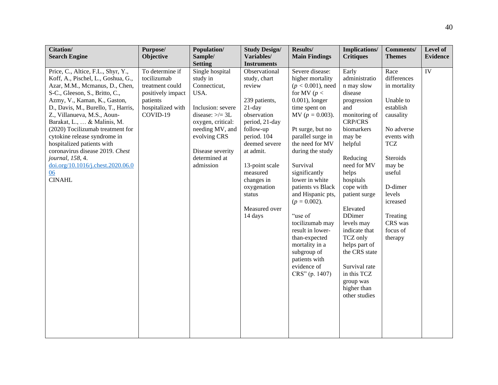| Citation/                                                                                                                                                                                                                                                                                                                                                                                                                                                                                              | Purpose/                                                                                                            | Population/                                                                                                                                                                                                | <b>Study Design/</b>                                                                                                                                                                                                                                              | Results/                                                                                                                                                                                                                                                                                                                                                                                                                                                                                   | Implications/                                                                                                                                                                                                                                                                                                                                                                                                     | <b>Comments/</b>                                                                                                                                                                                                                     | Level of        |
|--------------------------------------------------------------------------------------------------------------------------------------------------------------------------------------------------------------------------------------------------------------------------------------------------------------------------------------------------------------------------------------------------------------------------------------------------------------------------------------------------------|---------------------------------------------------------------------------------------------------------------------|------------------------------------------------------------------------------------------------------------------------------------------------------------------------------------------------------------|-------------------------------------------------------------------------------------------------------------------------------------------------------------------------------------------------------------------------------------------------------------------|--------------------------------------------------------------------------------------------------------------------------------------------------------------------------------------------------------------------------------------------------------------------------------------------------------------------------------------------------------------------------------------------------------------------------------------------------------------------------------------------|-------------------------------------------------------------------------------------------------------------------------------------------------------------------------------------------------------------------------------------------------------------------------------------------------------------------------------------------------------------------------------------------------------------------|--------------------------------------------------------------------------------------------------------------------------------------------------------------------------------------------------------------------------------------|-----------------|
| <b>Search Engine</b>                                                                                                                                                                                                                                                                                                                                                                                                                                                                                   | Objective                                                                                                           | Sample/                                                                                                                                                                                                    | Variables/                                                                                                                                                                                                                                                        | <b>Main Findings</b>                                                                                                                                                                                                                                                                                                                                                                                                                                                                       | <b>Critiques</b>                                                                                                                                                                                                                                                                                                                                                                                                  | <b>Themes</b>                                                                                                                                                                                                                        | <b>Evidence</b> |
|                                                                                                                                                                                                                                                                                                                                                                                                                                                                                                        |                                                                                                                     | <b>Setting</b>                                                                                                                                                                                             | <b>Instruments</b>                                                                                                                                                                                                                                                |                                                                                                                                                                                                                                                                                                                                                                                                                                                                                            |                                                                                                                                                                                                                                                                                                                                                                                                                   |                                                                                                                                                                                                                                      |                 |
| Price, C., Altice, F.L., Shyr, Y.,<br>Koff, A., Pischel, L., Goshua, G.,<br>Azar, M.M., Mcmanus, D., Chen,<br>S-C., Gleeson, S., Britto, C.,<br>Azmy, V., Kaman, K., Gaston,<br>D., Davis, M., Burello, T., Harris,<br>Z., Villanueva, M.S., Aoun-<br>Barakat, L.,  & Malinis, M.<br>(2020) Tocilizumab treatment for<br>cytokine release syndrome in<br>hospitalized patients with<br>coronavirus disease 2019. Chest<br>journal, 158, 4.<br>doi.org/10.1016/j.chest.2020.06.0<br>06<br><b>CINAHL</b> | To determine if<br>tocilizumab<br>treatment could<br>positively impact<br>patients<br>hospitalized with<br>COVID-19 | Single hospital<br>study in<br>Connecticut,<br>USA.<br>Inclusion: severe<br>disease: $\ge$ /= 3L<br>oxygen, critical:<br>needing MV, and<br>evolving CRS<br>Disease severity<br>determined at<br>admission | Observational<br>study, chart<br>review<br>239 patients,<br>$21$ -day<br>observation<br>period, 21-day<br>follow-up<br>period. 104<br>deemed severe<br>at admit.<br>13-point scale<br>measured<br>changes in<br>oxygenation<br>status<br>Measured over<br>14 days | Severe disease:<br>higher mortality<br>$(p < 0.001)$ , need<br>for MV ( $p <$<br>$0.001$ ), longer<br>time spent on<br>$MV (p = 0.003).$<br>Pt surge, but no<br>parallel surge in<br>the need for MV<br>during the study<br>Survival<br>significantly<br>lower in white<br>patients vs Black<br>and Hispanic pts,<br>$(p = 0.002)$ .<br>"use of<br>tocilizumab may<br>result in lower-<br>than-expected<br>mortality in a<br>subgroup of<br>patients with<br>evidence of<br>CRS" (p. 1407) | Early<br>administratio<br>n may slow<br>disease<br>progression<br>and<br>monitoring of<br><b>CRP/CRS</b><br>biomarkers<br>may be<br>helpful<br>Reducing<br>need for MV<br>helps<br>hospitals<br>cope with<br>patient surge<br>Elevated<br><b>DDimer</b><br>levels may<br>indicate that<br>TCZ only<br>helps part of<br>the CRS state<br>Survival rate<br>in this TCZ<br>group was<br>higher than<br>other studies | Race<br>differences<br>in mortality<br>Unable to<br>establish<br>causality<br>No adverse<br>events with<br><b>TCZ</b><br>Steroids<br>may be<br>useful<br>D-dimer<br>levels<br>icreased<br>Treating<br>CRS was<br>focus of<br>therapy | IV              |
|                                                                                                                                                                                                                                                                                                                                                                                                                                                                                                        |                                                                                                                     |                                                                                                                                                                                                            |                                                                                                                                                                                                                                                                   |                                                                                                                                                                                                                                                                                                                                                                                                                                                                                            |                                                                                                                                                                                                                                                                                                                                                                                                                   |                                                                                                                                                                                                                                      |                 |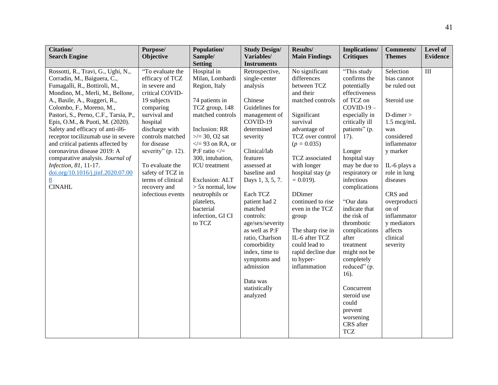| Citation/                                                                                                                                                                                                                                                                                                                                                                                                                                                                                                                                            | Purpose/                                                                                                                                                                                                                                                                                                    | Population/                                                                                                                                                                                                                                                                                                                                                     | <b>Study Design/</b>                                                                                                                                                                                                                                                                                                                                                                                                                | Results/                                                                                                                                                                                                                                                                                                                                                                                                         | <b>Implications/</b>                                                                                                                                                                                                                                                                                                                                                                                                                                                                              | <b>Comments/</b>                                                                                                                                                                                                                                                                                   | Level of        |
|------------------------------------------------------------------------------------------------------------------------------------------------------------------------------------------------------------------------------------------------------------------------------------------------------------------------------------------------------------------------------------------------------------------------------------------------------------------------------------------------------------------------------------------------------|-------------------------------------------------------------------------------------------------------------------------------------------------------------------------------------------------------------------------------------------------------------------------------------------------------------|-----------------------------------------------------------------------------------------------------------------------------------------------------------------------------------------------------------------------------------------------------------------------------------------------------------------------------------------------------------------|-------------------------------------------------------------------------------------------------------------------------------------------------------------------------------------------------------------------------------------------------------------------------------------------------------------------------------------------------------------------------------------------------------------------------------------|------------------------------------------------------------------------------------------------------------------------------------------------------------------------------------------------------------------------------------------------------------------------------------------------------------------------------------------------------------------------------------------------------------------|---------------------------------------------------------------------------------------------------------------------------------------------------------------------------------------------------------------------------------------------------------------------------------------------------------------------------------------------------------------------------------------------------------------------------------------------------------------------------------------------------|----------------------------------------------------------------------------------------------------------------------------------------------------------------------------------------------------------------------------------------------------------------------------------------------------|-----------------|
| <b>Search Engine</b>                                                                                                                                                                                                                                                                                                                                                                                                                                                                                                                                 | <b>Objective</b>                                                                                                                                                                                                                                                                                            | Sample/<br><b>Setting</b>                                                                                                                                                                                                                                                                                                                                       | Variables/<br><b>Instruments</b>                                                                                                                                                                                                                                                                                                                                                                                                    | <b>Main Findings</b>                                                                                                                                                                                                                                                                                                                                                                                             | <b>Critiques</b>                                                                                                                                                                                                                                                                                                                                                                                                                                                                                  | <b>Themes</b>                                                                                                                                                                                                                                                                                      | <b>Evidence</b> |
| Rossotti, R., Travi, G., Ughi, N.,<br>Corradin, M., Baiguera, C.,<br>Fumagalli, R., Bottiroli, M.,<br>Mondino, M., Merli, M., Bellone,<br>A., Basile, A., Ruggeri, R.,<br>Colombo, F., Moreno, M.,<br>Pastori, S., Perno, C.F., Tarsia, P.,<br>Epis, O.M., & Puoti, M. (2020).<br>Safety and efficacy of anti-il6-<br>receptor tocilizumab use in severe<br>and critical patients affected by<br>coronavirus disease 2019: A<br>comparative analysis. Journal of<br>Infection, 81, 11-17.<br>doi.org/10.1016/j.jinf.2020.07.00<br>8<br><b>CINAHL</b> | "To evaluate the<br>efficacy of TCZ<br>in severe and<br>critical COVID-<br>19 subjects<br>comparing<br>survival and<br>hospital<br>discharge with<br>controls matched<br>for disease<br>severity" (p. 12).<br>To evaluate the<br>safety of TCZ in<br>terms of clinical<br>recovery and<br>infectious events | Hospital in<br>Milan, Lombardi<br>Region, Italy<br>74 patients in<br>TCZ group, 148<br>matched controls<br>Inclusion: RR<br>$\ge$ /= 30, O2 sat<br>$\langle 2.93$ on RA, or<br>P:F ratio $\lt$ =<br>300, intubation,<br><b>ICU</b> treatment<br>Exclusion: ALT<br>$> 5x$ normal, low<br>neutrophils or<br>platelets,<br>bacterial<br>infection, GI CI<br>to TCZ | Retrospective,<br>single-center<br>analysis<br>Chinese<br>Guidelines for<br>management of<br>COVID-19<br>determined<br>severity<br>Clinical/lab<br>features<br>assessed at<br>baseline and<br>Days 1, 3, 5, 7.<br>Each TCZ<br>patient had 2<br>matched<br>controls:<br>age/sex/severity<br>as well as P:F<br>ratio, Charlson<br>comorbidity<br>index, time to<br>symptoms and<br>admission<br>Data was<br>statistically<br>analyzed | No significant<br>differences<br>between TCZ<br>and their<br>matched controls<br>Significant<br>survival<br>advantage of<br>TCZ over control<br>$(p = 0.035)$<br>TCZ associated<br>with longer<br>hospital stay $(p)$<br>$= 0.019$ .<br><b>DDimer</b><br>continued to rise<br>even in the TCZ<br>group<br>The sharp rise in<br>IL-6 after TCZ<br>could lead to<br>rapid decline due<br>to hyper-<br>inflammation | "This study<br>confirms the<br>potentially<br>effectiveness<br>of TCZ on<br>$COVID-19-$<br>especially in<br>critically ill<br>patients" (p.<br>17).<br>Longer<br>hospital stay<br>may be due to<br>respiratory or<br>infectious<br>complications<br>"Our data<br>indicate that<br>the risk of<br>thrombotic<br>complications<br>after<br>treatment<br>might not be<br>completely<br>reduced" (p.<br>16).<br>Concurrent<br>steroid use<br>could<br>prevent<br>worsening<br>CRS after<br><b>TCZ</b> | Selection<br>bias cannot<br>be ruled out<br>Steroid use<br>$D$ -dimer $>$<br>$1.5 \text{~mcg/mL}$<br>was<br>considered<br>inflammator<br>y marker<br>IL-6 plays a<br>role in lung<br>diseases<br>CRS and<br>overproducti<br>on of<br>inflammator<br>y mediators<br>affects<br>clinical<br>severity | $\rm III$       |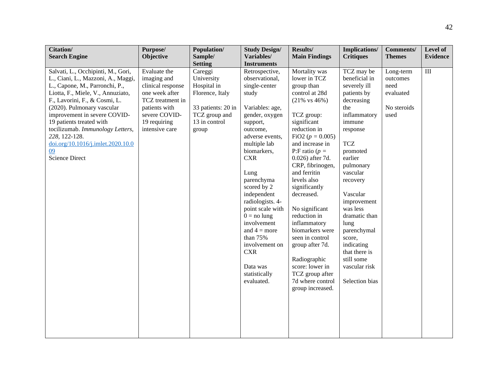| Citation/                                                                                                                                                                                                                                                                                                                                                                                           | Purpose/                                                                                                                                                   | Population/                                                                                                              | <b>Study Design/</b>                                                                                                                                                                                                                                                                                                                                                                                                         | Results/                                                                                                                                                                                                                                                                                                                                                                                                                                                                                                               | <b>Implications/</b>                                                                                                                                                                                                                                                                                                                                                     | <b>Comments/</b>                                                  | Level of        |
|-----------------------------------------------------------------------------------------------------------------------------------------------------------------------------------------------------------------------------------------------------------------------------------------------------------------------------------------------------------------------------------------------------|------------------------------------------------------------------------------------------------------------------------------------------------------------|--------------------------------------------------------------------------------------------------------------------------|------------------------------------------------------------------------------------------------------------------------------------------------------------------------------------------------------------------------------------------------------------------------------------------------------------------------------------------------------------------------------------------------------------------------------|------------------------------------------------------------------------------------------------------------------------------------------------------------------------------------------------------------------------------------------------------------------------------------------------------------------------------------------------------------------------------------------------------------------------------------------------------------------------------------------------------------------------|--------------------------------------------------------------------------------------------------------------------------------------------------------------------------------------------------------------------------------------------------------------------------------------------------------------------------------------------------------------------------|-------------------------------------------------------------------|-----------------|
| <b>Search Engine</b>                                                                                                                                                                                                                                                                                                                                                                                | Objective                                                                                                                                                  | Sample/                                                                                                                  | Variables/                                                                                                                                                                                                                                                                                                                                                                                                                   | <b>Main Findings</b>                                                                                                                                                                                                                                                                                                                                                                                                                                                                                                   | <b>Critiques</b>                                                                                                                                                                                                                                                                                                                                                         | <b>Themes</b>                                                     | <b>Evidence</b> |
|                                                                                                                                                                                                                                                                                                                                                                                                     |                                                                                                                                                            | <b>Setting</b>                                                                                                           | <b>Instruments</b>                                                                                                                                                                                                                                                                                                                                                                                                           |                                                                                                                                                                                                                                                                                                                                                                                                                                                                                                                        |                                                                                                                                                                                                                                                                                                                                                                          |                                                                   |                 |
| Salvati, L., Occhipinti, M., Gori,<br>L., Ciani, L., Mazzoni, A., Maggi,<br>L., Capone, M., Parronchi, P.,<br>Liotta, F., Miele, V., Annuziato,<br>F., Lavorini, F., & Cosmi, L.<br>(2020). Pulmonary vascular<br>improvement in severe COVID-<br>19 patients treated with<br>tocilizumab. Immunology Letters,<br>228, 122-128.<br>doi.org/10.1016/j.imlet.2020.10.0<br>09<br><b>Science Direct</b> | Evaluate the<br>imaging and<br>clinical response<br>one week after<br>TCZ treatment in<br>patients with<br>severe COVID-<br>19 requiring<br>intensive care | Careggi<br>University<br>Hospital in<br>Florence, Italy<br>33 patients: 20 in<br>TCZ group and<br>13 in control<br>group | Retrospective,<br>observational,<br>single-center<br>study<br>Variables: age,<br>gender, oxygen<br>support,<br>outcome,<br>adverse events,<br>multiple lab<br>biomarkers,<br><b>CXR</b><br>Lung<br>parenchyma<br>scored by 2<br>independent<br>radiologists. 4-<br>point scale with<br>$0 = no$ lung<br>involvement<br>and $4 = more$<br>than 75%<br>involvement on<br><b>CXR</b><br>Data was<br>statistically<br>evaluated. | Mortality was<br>lower in TCZ<br>group than<br>control at 28d<br>$(21\% \text{ vs } 46\%)$<br>TCZ group:<br>significant<br>reduction in<br>FiO2 ( $p = 0.005$ )<br>and increase in<br>P:F ratio ( $p =$<br>0.026) after 7d.<br>CRP, fibrinogen,<br>and ferritin<br>levels also<br>significantly<br>decreased.<br>No significant<br>reduction in<br>inflammatory<br>biomarkers were<br>seen in control<br>group after 7d.<br>Radiographic<br>score: lower in<br>TCZ group after<br>7d where control<br>group increased. | TCZ may be<br>beneficial in<br>severely ill<br>patients by<br>decreasing<br>the<br>inflammatory<br>immune<br>response<br><b>TCZ</b><br>promoted<br>earlier<br>pulmonary<br>vascular<br>recovery<br>Vascular<br>improvement<br>was less<br>dramatic than<br>lung<br>parenchymal<br>score,<br>indicating<br>that there is<br>still some<br>vascular risk<br>Selection bias | Long-term<br>outcomes<br>need<br>evaluated<br>No steroids<br>used | $\rm III$       |
|                                                                                                                                                                                                                                                                                                                                                                                                     |                                                                                                                                                            |                                                                                                                          |                                                                                                                                                                                                                                                                                                                                                                                                                              |                                                                                                                                                                                                                                                                                                                                                                                                                                                                                                                        |                                                                                                                                                                                                                                                                                                                                                                          |                                                                   |                 |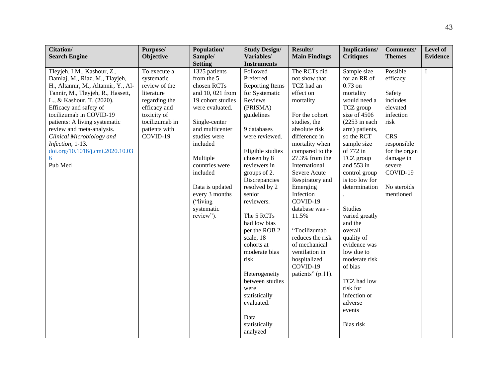| Citation/                           | Purpose/       | Population/       | <b>Study Design/</b>   | Results/             | <b>Implications/</b> | <b>Comments/</b> | Level of        |
|-------------------------------------|----------------|-------------------|------------------------|----------------------|----------------------|------------------|-----------------|
| <b>Search Engine</b>                | Objective      | Sample/           | Variables/             | <b>Main Findings</b> | <b>Critiques</b>     | <b>Themes</b>    | <b>Evidence</b> |
|                                     |                | <b>Setting</b>    | <b>Instruments</b>     |                      |                      |                  |                 |
| Tleyjeh, I.M., Kashour, Z.,         | To execute a   | 1325 patients     | Followed               | The RCTs did         | Sample size          | Possible         | $\bf I$         |
| Damlaj, M., Riaz, M., Tlayjeh,      | systematic     | from the 5        | Preferred              | not show that        | for an RR of         | efficacy         |                 |
| H., Altannir, M., Altannir, Y., Al- | review of the  | chosen RCTs       | <b>Reporting Items</b> | TCZ had an           | $0.73$ on            |                  |                 |
| Tannir, M., Tleyjeh, R., Hassett,   | literature     | and 10, 021 from  | for Systematic         | effect on            | mortality            | Safety           |                 |
| L., & Kashour, T. (2020).           | regarding the  | 19 cohort studies | Reviews                | mortality            | would need a         | includes         |                 |
| Efficacy and safety of              | efficacy and   | were evaluated.   | (PRISMA)               |                      | TCZ group            | elevated         |                 |
| tocilizumab in COVID-19             | toxicity of    |                   | guidelines             | For the cohort       | size of 4506         | infection        |                 |
| patients: A living systematic       | tocilizumab in | Single-center     |                        | studies, the         | $(2253$ in each      | risk             |                 |
| review and meta-analysis.           | patients with  | and multicenter   | 9 databases            | absolute risk        | arm) patients,       |                  |                 |
| Clinical Microbiology and           | COVID-19       | studies were      | were reviewed.         | difference in        | so the RCT           | <b>CRS</b>       |                 |
| Infection, 1-13.                    |                | included          |                        | mortality when       | sample size          | responsible      |                 |
| doi.org/10.1016/j.cmi.2020.10.03    |                |                   | Eligible studies       | compared to the      | of 772 in            | for the organ    |                 |
| $\underline{6}$                     |                | Multiple          | chosen by 8            | 27.3% from the       | TCZ group            | damage in        |                 |
| Pub Med                             |                | countries were    | reviewers in           | International        | and 553 in           | severe           |                 |
|                                     |                | included          | groups of 2.           | Severe Acute         | control group        | COVID-19         |                 |
|                                     |                |                   | Discrepancies          | Respiratory and      | is too low for       |                  |                 |
|                                     |                | Data is updated   | resolved by 2          | Emerging             | determination        | No steroids      |                 |
|                                     |                | every 3 months    | senior                 | Infection            |                      | mentioned        |                 |
|                                     |                | ("living          | reviewers.             | COVID-19             |                      |                  |                 |
|                                     |                | systematic        |                        | database was -       | <b>Studies</b>       |                  |                 |
|                                     |                | review").         | The 5 RCTs             | 11.5%                | varied greatly       |                  |                 |
|                                     |                |                   | had low bias           |                      | and the              |                  |                 |
|                                     |                |                   | per the ROB 2          | "Tocilizumab         | overall              |                  |                 |
|                                     |                |                   | scale, 18              | reduces the risk     | quality of           |                  |                 |
|                                     |                |                   | cohorts at             | of mechanical        | evidence was         |                  |                 |
|                                     |                |                   | moderate bias          | ventilation in       | low due to           |                  |                 |
|                                     |                |                   | risk                   | hospitalized         | moderate risk        |                  |                 |
|                                     |                |                   |                        | COVID-19             | of bias              |                  |                 |
|                                     |                |                   | Heterogeneity          | patients" (p.11).    |                      |                  |                 |
|                                     |                |                   | between studies        |                      | TCZ had low          |                  |                 |
|                                     |                |                   | were                   |                      | risk for             |                  |                 |
|                                     |                |                   | statistically          |                      | infection or         |                  |                 |
|                                     |                |                   | evaluated.             |                      | adverse              |                  |                 |
|                                     |                |                   |                        |                      | events               |                  |                 |
|                                     |                |                   | Data                   |                      |                      |                  |                 |
|                                     |                |                   | statistically          |                      | Bias risk            |                  |                 |
|                                     |                |                   | analyzed               |                      |                      |                  |                 |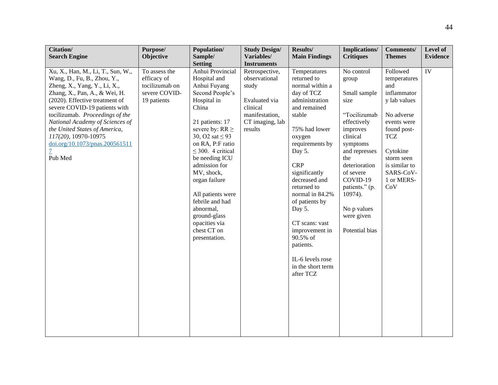| Citation/                                                                                                                                                                                                                                                                                                                                                                        | Purpose/                                                                       | Population/                                                                                                                                                                                                                                                                                                                                                                                                            | <b>Study Design/</b>                                                                                                                        | Results/                                                                                                                                                                                                                                                                                                                                                                                          | <b>Implications/</b>                                                                                                                                                                                                                                         | <b>Comments/</b>                                                                                                                                                                                      | Level of        |
|----------------------------------------------------------------------------------------------------------------------------------------------------------------------------------------------------------------------------------------------------------------------------------------------------------------------------------------------------------------------------------|--------------------------------------------------------------------------------|------------------------------------------------------------------------------------------------------------------------------------------------------------------------------------------------------------------------------------------------------------------------------------------------------------------------------------------------------------------------------------------------------------------------|---------------------------------------------------------------------------------------------------------------------------------------------|---------------------------------------------------------------------------------------------------------------------------------------------------------------------------------------------------------------------------------------------------------------------------------------------------------------------------------------------------------------------------------------------------|--------------------------------------------------------------------------------------------------------------------------------------------------------------------------------------------------------------------------------------------------------------|-------------------------------------------------------------------------------------------------------------------------------------------------------------------------------------------------------|-----------------|
| <b>Search Engine</b>                                                                                                                                                                                                                                                                                                                                                             | Objective                                                                      | Sample/                                                                                                                                                                                                                                                                                                                                                                                                                | Variables/                                                                                                                                  | <b>Main Findings</b>                                                                                                                                                                                                                                                                                                                                                                              | <b>Critiques</b>                                                                                                                                                                                                                                             | <b>Themes</b>                                                                                                                                                                                         | <b>Evidence</b> |
| Xu, X., Han, M., Li, T., Sun, W.,<br>Wang, D., Fu, B., Zhou, Y.,<br>Zheng, X., Yang, Y., Li, X.,<br>Zhang, X., Pan, A., & Wei, H.<br>(2020). Effective treatment of<br>severe COVID-19 patients with<br>tocilizumab. Proceedings of the<br>National Academy of Sciences of<br>the United States of America,<br>117(20), 10970-10975<br>doi.org/10.1073/pnas.200561511<br>Pub Med | To assess the<br>efficacy of<br>tocilizumab on<br>severe COVID-<br>19 patients | <b>Setting</b><br>Anhui Provincial<br>Hospital and<br>Anhui Fuyang<br>Second People's<br>Hospital in<br>China<br>21 patients: 17<br>severe by: $RR \geq$<br>30, O2 sat $\leq$ 93<br>on RA, P:F ratio<br>$\leq$ 300. 4 critical<br>be needing ICU<br>admission for<br>MV, shock,<br>organ failure<br>All patients were<br>febrile and had<br>abnormal,<br>ground-glass<br>opacities via<br>chest CT on<br>presentation. | <b>Instruments</b><br>Retrospective,<br>observational<br>study<br>Evaluated via<br>clinical<br>manifestation,<br>CT imaging, lab<br>results | Temperatures<br>returned to<br>normal within a<br>day of TCZ<br>administration<br>and remained<br>stable<br>75% had lower<br>oxygen<br>requirements by<br>Day 5.<br><b>CRP</b><br>significantly<br>decreased and<br>returned to<br>normal in 84.2%<br>of patients by<br>Day 5.<br>CT scans: vast<br>improvement in<br>90.5% of<br>patients.<br>IL-6 levels rose<br>in the short term<br>after TCZ | No control<br>group<br>Small sample<br>size<br>"Tocilizumab<br>effectively<br>improves<br>clinical<br>symptoms<br>and represses<br>the<br>deterioration<br>of severe<br>COVID-19<br>patients." (p.<br>10974).<br>No p values<br>were given<br>Potential bias | Followed<br>temperatures<br>and<br>inflammator<br>y lab values<br>No adverse<br>events were<br>found post-<br><b>TCZ</b><br>Cytokine<br>storm seen<br>is similar to<br>SARS-CoV-<br>1 or MERS-<br>CoV | IV              |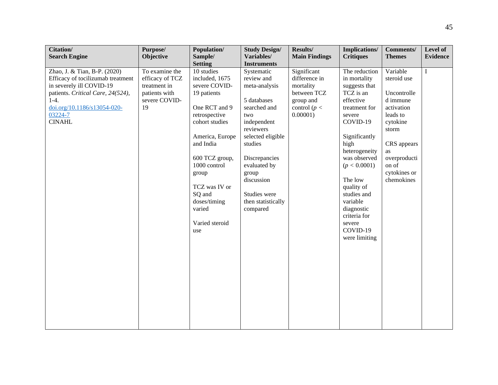| Citation/<br><b>Search Engine</b>                                                                                                                                                                       | Purpose/<br>Objective                                                                     | Population/<br>Sample/                                                                                                                                                                                                                                                    | <b>Study Design/</b><br>Variables/                                                                                                                                                                                                                    | Results/<br><b>Main Findings</b>                                                                        | <b>Implications/</b><br><b>Critiques</b>                                                                                                                                                                                                                                                                           | <b>Comments/</b><br><b>Themes</b>                                                                                                                                             | Level of<br><b>Evidence</b> |
|---------------------------------------------------------------------------------------------------------------------------------------------------------------------------------------------------------|-------------------------------------------------------------------------------------------|---------------------------------------------------------------------------------------------------------------------------------------------------------------------------------------------------------------------------------------------------------------------------|-------------------------------------------------------------------------------------------------------------------------------------------------------------------------------------------------------------------------------------------------------|---------------------------------------------------------------------------------------------------------|--------------------------------------------------------------------------------------------------------------------------------------------------------------------------------------------------------------------------------------------------------------------------------------------------------------------|-------------------------------------------------------------------------------------------------------------------------------------------------------------------------------|-----------------------------|
|                                                                                                                                                                                                         |                                                                                           | <b>Setting</b>                                                                                                                                                                                                                                                            | <b>Instruments</b>                                                                                                                                                                                                                                    |                                                                                                         |                                                                                                                                                                                                                                                                                                                    |                                                                                                                                                                               |                             |
| Zhao, J. & Tian, B-P. (2020)<br>Efficacy of tocilizumab treatment<br>in severely ill COVID-19<br>patients. Critical Care, 24(524),<br>$1-4.$<br>doi.org/10.1186/s13054-020-<br>03224-7<br><b>CINAHL</b> | To examine the<br>efficacy of TCZ<br>treatment in<br>patients with<br>severe COVID-<br>19 | 10 studies<br>included, 1675<br>severe COVID-<br>19 patients<br>One RCT and 9<br>retrospective<br>cohort studies<br>America, Europe<br>and India<br>600 TCZ group,<br>1000 control<br>group<br>TCZ was IV or<br>SQ and<br>doses/timing<br>varied<br>Varied steroid<br>use | Systematic<br>review and<br>meta-analysis<br>5 databases<br>searched and<br>two<br>independent<br>reviewers<br>selected eligible<br>studies<br>Discrepancies<br>evaluated by<br>group<br>discussion<br>Studies were<br>then statistically<br>compared | Significant<br>difference in<br>mortality<br>between TCZ<br>group and<br>control ( $p <$<br>$0.00001$ ) | The reduction<br>in mortality<br>suggests that<br>TCZ is an<br>effective<br>treatment for<br>severe<br>COVID-19<br>Significantly<br>high<br>heterogeneity<br>was observed<br>(p < 0.0001)<br>The low<br>quality of<br>studies and<br>variable<br>diagnostic<br>criteria for<br>severe<br>COVID-19<br>were limiting | Variable<br>steroid use<br>Uncontrolle<br>d immune<br>activation<br>leads to<br>cytokine<br>storm<br>CRS appears<br>as<br>overproducti<br>on of<br>cytokines or<br>chemokines | $\bf I$                     |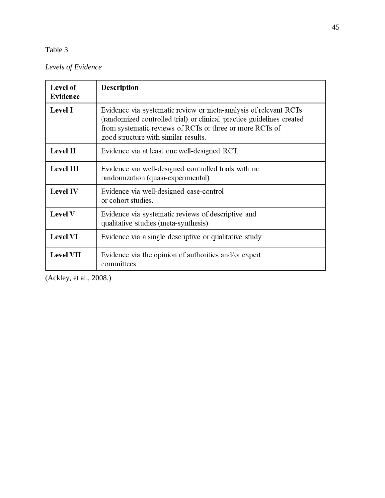# *Levels of Evidence*

| Level of<br>Evidence | <b>Description</b>                                                                                                                                                                                                                            |
|----------------------|-----------------------------------------------------------------------------------------------------------------------------------------------------------------------------------------------------------------------------------------------|
| <b>Level I</b>       | Evidence via systematic review or meta-analysis of relevant RCTs<br>(randomized controlled trial) or clinical practice guidelines created<br>from systematic reviews of RCTs or three or more RCTs of<br>good structure with similar results. |
| <b>Level II</b>      | Evidence via at least one well-designed RCT.                                                                                                                                                                                                  |
| <b>Level III</b>     | Evidence via well-designed controlled trials with no<br>randomization (quasi-experimental).                                                                                                                                                   |
| <b>Level IV</b>      | Evidence via well-designed case-control<br>or cohort studies.                                                                                                                                                                                 |
| Level V              | Evidence via systematic reviews of descriptive and<br>qualitative studies (meta-synthesis).                                                                                                                                                   |
| <b>Level VI</b>      | Evidence via a single descriptive or qualitative study.                                                                                                                                                                                       |
| <b>Level VII</b>     | Evidence via the opinion of authorities and/or expert<br>committees.                                                                                                                                                                          |

(Ackley, et al., 2008.)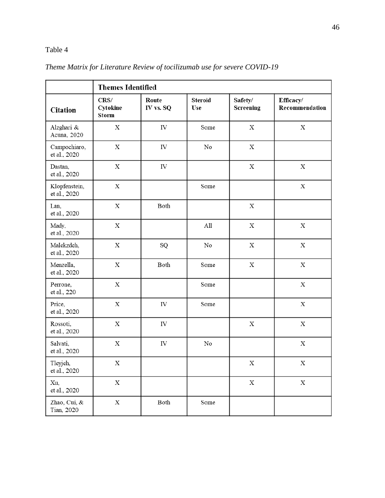|                                    | <b>Themes Identified</b>         |                    |                       |                             |                             |  |  |  |  |
|------------------------------------|----------------------------------|--------------------|-----------------------|-----------------------------|-----------------------------|--|--|--|--|
| <b>Citation</b>                    | CRS/<br>Cytokine<br><b>Storm</b> | Route<br>IV vs. SQ | <b>Steroid</b><br>Use | Safety/<br><b>Screening</b> | Efficacy/<br>Recommendation |  |  |  |  |
| Alzghari &<br>Acuna, 2020          | $\mathbf X$                      | IV                 | Some                  | $\mathbf X$                 | $\mathbf X$                 |  |  |  |  |
| Campochiaro,<br>et al., 2020       | $\mathbf X$                      | IV                 | $\rm No$              | $\mathbf X$                 |                             |  |  |  |  |
| Dastan,<br>et al., 2020            | $\mathbf X$                      | IV                 |                       | $\mathbf X$                 | $\mathbf X$                 |  |  |  |  |
| Klopfenstein,<br>et al., 2020      | $\mathbf X$                      |                    | Some                  |                             | $\mathbf X$                 |  |  |  |  |
| Lan,<br>et al., 2020               | $\mathbf X$                      | Both               |                       | X                           |                             |  |  |  |  |
| Mady,<br>et al., 2020              | $\mathbf X$                      |                    | All                   | $\mathbf X$                 | $\mathbf X$                 |  |  |  |  |
| Malekzdeh,<br>et al., 2020         | $\mathbf X$                      | SQ                 | No                    | $\mathbf X$                 | $\mathbf X$                 |  |  |  |  |
| Menzella,<br>et al., 2020          | $\mathbf X$                      | Both               | Some                  | $\mathbf X$                 | $\mathbf X$                 |  |  |  |  |
| Perrone,<br>et al., 220            | $\mathbf X$                      |                    | Some                  |                             | $\mathbf X$                 |  |  |  |  |
| Price,<br>et al., 2020             | $\mathbf X$                      | ${\rm IV}$         | Some                  |                             | $\mathbf X$                 |  |  |  |  |
| Rossoti,<br>et al., 2020           | $\mathbf X$                      | IV                 |                       | $\mathbf X$                 | $\mathbf X$                 |  |  |  |  |
| Salvati,<br>et al., 2020           | X                                | IV                 | No                    |                             | $\mathbf X$                 |  |  |  |  |
| Tleyjeh,<br>et al., 2020           | Х                                |                    |                       | Х                           | Х                           |  |  |  |  |
| Xu,<br>et al., 2020                | $\mathbf X$                      |                    |                       | $\mathbf X$                 | $\mathbf X$                 |  |  |  |  |
| Zhao, Cui, &<br><b>Tian</b> , 2020 | $\mathbf X$                      | Both               | Some                  |                             |                             |  |  |  |  |

# *Theme Matrix for Literature Review of tocilizumab use for severe COVID-19*